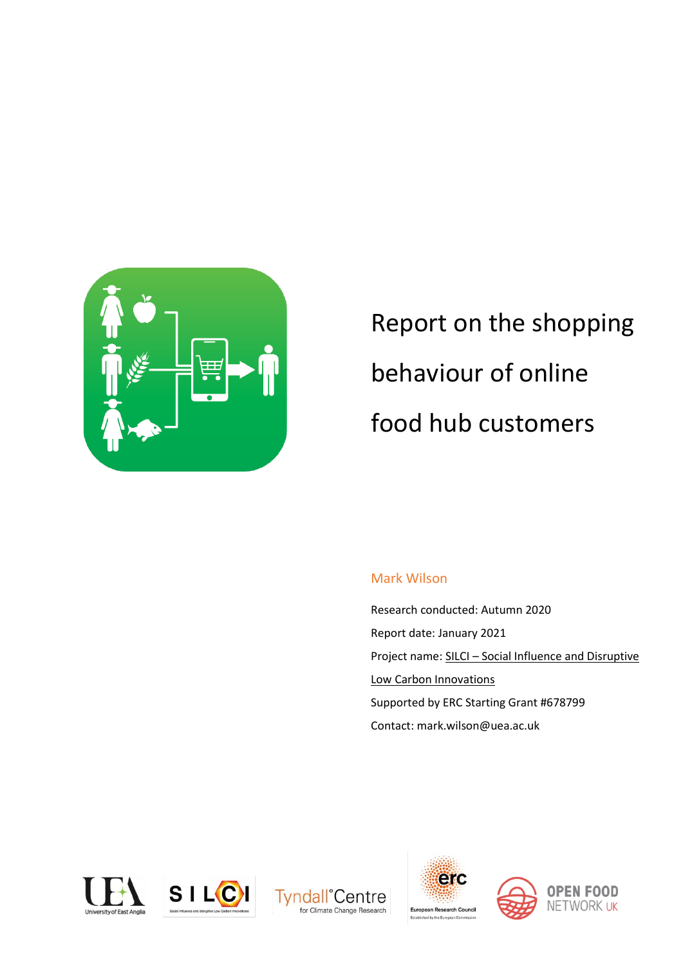

Report on the shopping behaviour of online food hub customers

# Mark Wilson

Research conducted: Autumn 2020 Report date: January 2021 Project name: SILCI – [Social Influence and Disruptive](https://silci.org/)  [Low Carbon Innovations](https://silci.org/) Supported by ERC Starting Grant #678799 Contact: mark.wilson@uea.ac.uk









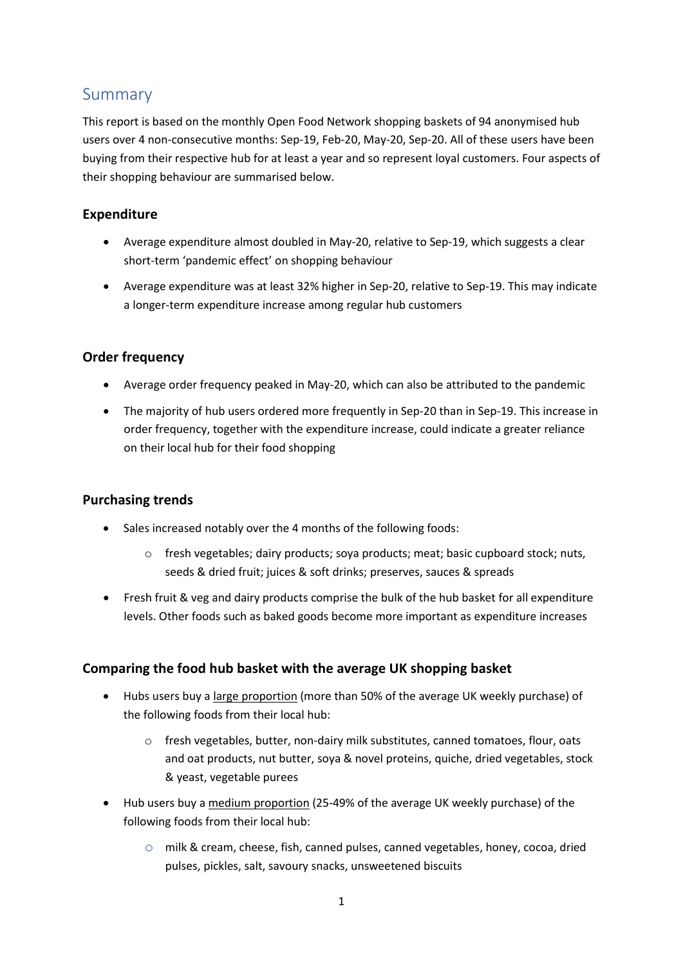# <span id="page-1-0"></span>Summary

This report is based on the monthly Open Food Network shopping baskets of 94 anonymised hub users over 4 non-consecutive months: Sep-19, Feb-20, May-20, Sep-20. All of these users have been buying from their respective hub for at least a year and so represent loyal customers. Four aspects of their shopping behaviour are summarised below.

## **Expenditure**

- Average expenditure almost doubled in May-20, relative to Sep-19, which suggests a clear short-term 'pandemic effect' on shopping behaviour
- Average expenditure was at least 32% higher in Sep-20, relative to Sep-19. This may indicate a longer-term expenditure increase among regular hub customers

# **Order frequency**

- Average order frequency peaked in May-20, which can also be attributed to the pandemic
- The majority of hub users ordered more frequently in Sep-20 than in Sep-19. This increase in order frequency, together with the expenditure increase, could indicate a greater reliance on their local hub for their food shopping

## **Purchasing trends**

- Sales increased notably over the 4 months of the following foods:
	- o fresh vegetables; dairy products; soya products; meat; basic cupboard stock; nuts, seeds & dried fruit; juices & soft drinks; preserves, sauces & spreads
- Fresh fruit & veg and dairy products comprise the bulk of the hub basket for all expenditure levels. Other foods such as baked goods become more important as expenditure increases

## **Comparing the food hub basket with the average UK shopping basket**

- Hubs users buy a large proportion (more than 50% of the average UK weekly purchase) of the following foods from their local hub:
	- $\circ$  fresh vegetables, butter, non-dairy milk substitutes, canned tomatoes, flour, oats and oat products, nut butter, soya & novel proteins, quiche, dried vegetables, stock & yeast, vegetable purees
- Hub users buy a medium proportion (25-49% of the average UK weekly purchase) of the following foods from their local hub:
	- o milk & cream, cheese, fish, canned pulses, canned vegetables, honey, cocoa, dried pulses, pickles, salt, savoury snacks, unsweetened biscuits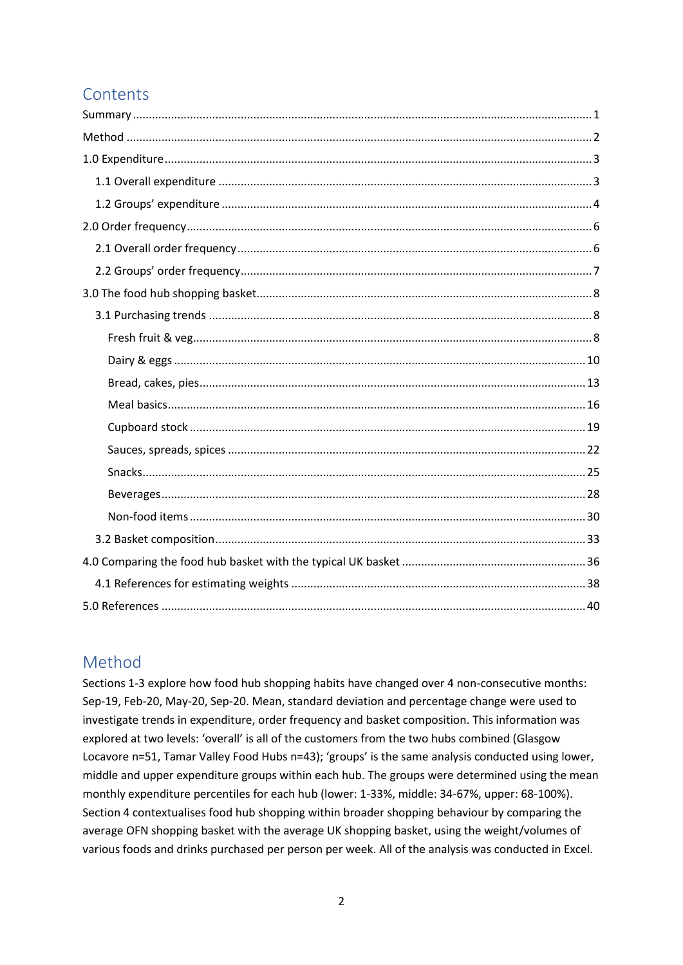# Contents

# <span id="page-2-0"></span>Method

Sections 1-3 explore how food hub shopping habits have changed over 4 non-consecutive months: Sep-19, Feb-20, May-20, Sep-20. Mean, standard deviation and percentage change were used to investigate trends in expenditure, order frequency and basket composition. This information was explored at two levels: 'overall' is all of the customers from the two hubs combined (Glasgow Locavore n=51, Tamar Valley Food Hubs n=43); 'groups' is the same analysis conducted using lower, middle and upper expenditure groups within each hub. The groups were determined using the mean monthly expenditure percentiles for each hub (lower: 1-33%, middle: 34-67%, upper: 68-100%). Section 4 contextualises food hub shopping within broader shopping behaviour by comparing the average OFN shopping basket with the average UK shopping basket, using the weight/volumes of various foods and drinks purchased per person per week. All of the analysis was conducted in Excel.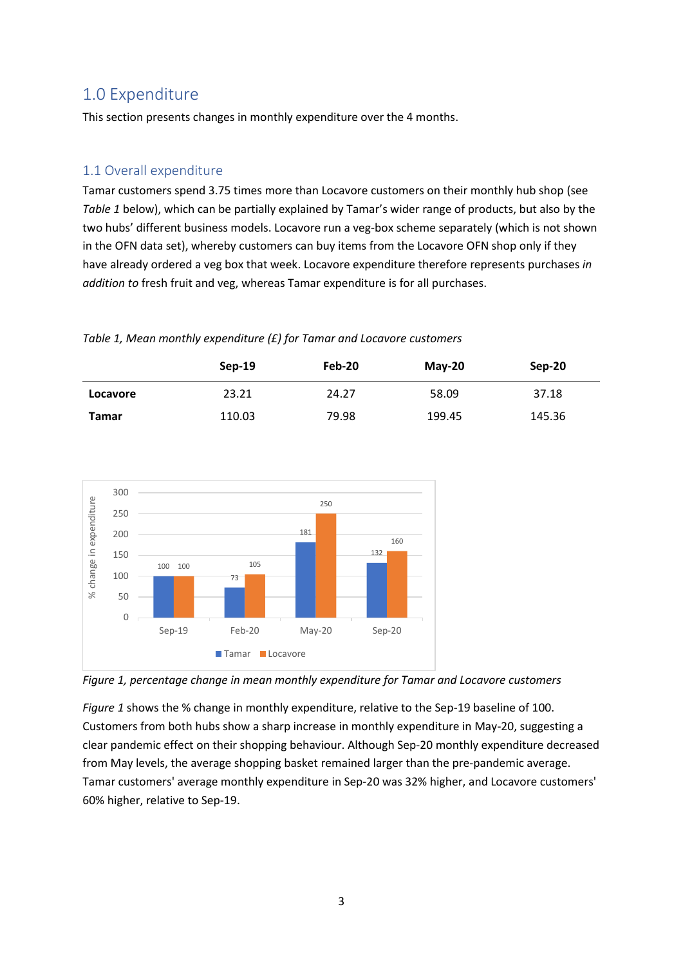# <span id="page-3-0"></span>1.0 Expenditure

This section presents changes in monthly expenditure over the 4 months.

# <span id="page-3-1"></span>1.1 Overall expenditure

Tamar customers spend 3.75 times more than Locavore customers on their monthly hub shop (see *Table 1* below), which can be partially explained by Tamar's wider range of products, but also by the two hubs' different business models. Locavore run a veg-box scheme separately (which is not shown in the OFN data set), whereby customers can buy items from the Locavore OFN shop only if they have already ordered a veg box that week. Locavore expenditure therefore represents purchases *in addition to* fresh fruit and veg, whereas Tamar expenditure is for all purchases.

### *Table 1, Mean monthly expenditure (£) for Tamar and Locavore customers*

|              | $Sep-19$ | Feb-20 | $M$ ay-20 | Sep-20 |
|--------------|----------|--------|-----------|--------|
| Locavore     | 23.21    | 24.27  | 58.09     | 37.18  |
| <b>Tamar</b> | 110.03   | 79.98  | 199.45    | 145.36 |



*Figure 1, percentage change in mean monthly expenditure for Tamar and Locavore customers*

*Figure 1* shows the % change in monthly expenditure, relative to the Sep-19 baseline of 100. Customers from both hubs show a sharp increase in monthly expenditure in May-20, suggesting a clear pandemic effect on their shopping behaviour. Although Sep-20 monthly expenditure decreased from May levels, the average shopping basket remained larger than the pre-pandemic average. Tamar customers' average monthly expenditure in Sep-20 was 32% higher, and Locavore customers' 60% higher, relative to Sep-19.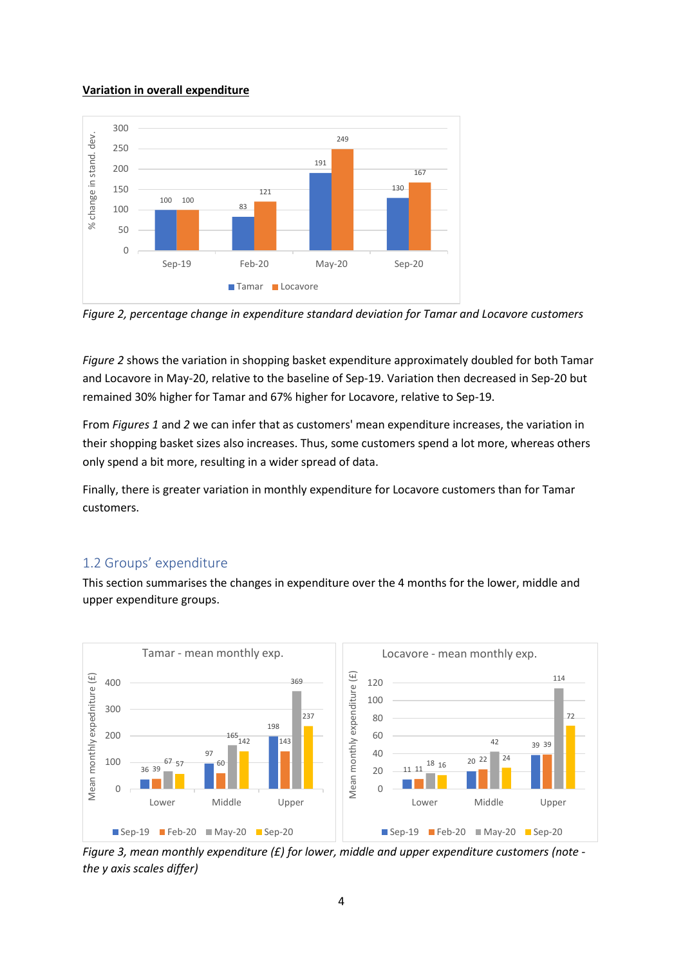### **Variation in overall expenditure**





*Figure 2* shows the variation in shopping basket expenditure approximately doubled for both Tamar and Locavore in May-20, relative to the baseline of Sep-19. Variation then decreased in Sep-20 but remained 30% higher for Tamar and 67% higher for Locavore, relative to Sep-19.

From *Figures 1* and *2* we can infer that as customers' mean expenditure increases, the variation in their shopping basket sizes also increases. Thus, some customers spend a lot more, whereas others only spend a bit more, resulting in a wider spread of data.

Finally, there is greater variation in monthly expenditure for Locavore customers than for Tamar customers.

## <span id="page-4-0"></span>1.2 Groups' expenditure

This section summarises the changes in expenditure over the 4 months for the lower, middle and upper expenditure groups.



*Figure 3, mean monthly expenditure (£) for lower, middle and upper expenditure customers (note the y axis scales differ)*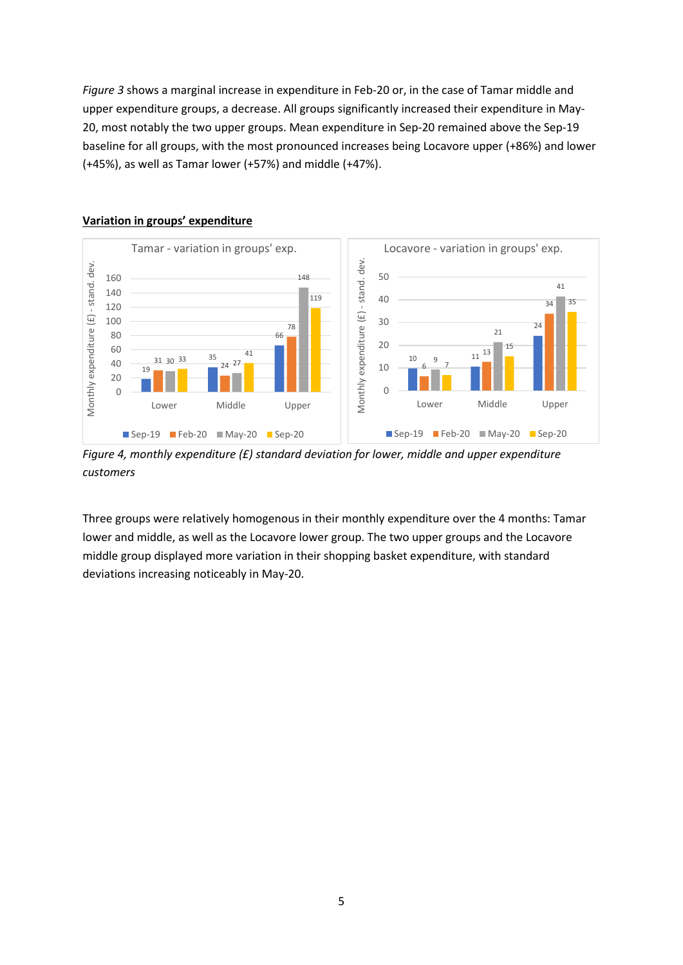*Figure 3* shows a marginal increase in expenditure in Feb-20 or, in the case of Tamar middle and upper expenditure groups, a decrease. All groups significantly increased their expenditure in May-20, most notably the two upper groups. Mean expenditure in Sep-20 remained above the Sep-19 baseline for all groups, with the most pronounced increases being Locavore upper (+86%) and lower (+45%), as well as Tamar lower (+57%) and middle (+47%).



### **Variation in groups' expenditure**

*Figure 4, monthly expenditure (£) standard deviation for lower, middle and upper expenditure customers*

Three groups were relatively homogenous in their monthly expenditure over the 4 months: Tamar lower and middle, as well as the Locavore lower group. The two upper groups and the Locavore middle group displayed more variation in their shopping basket expenditure, with standard deviations increasing noticeably in May-20.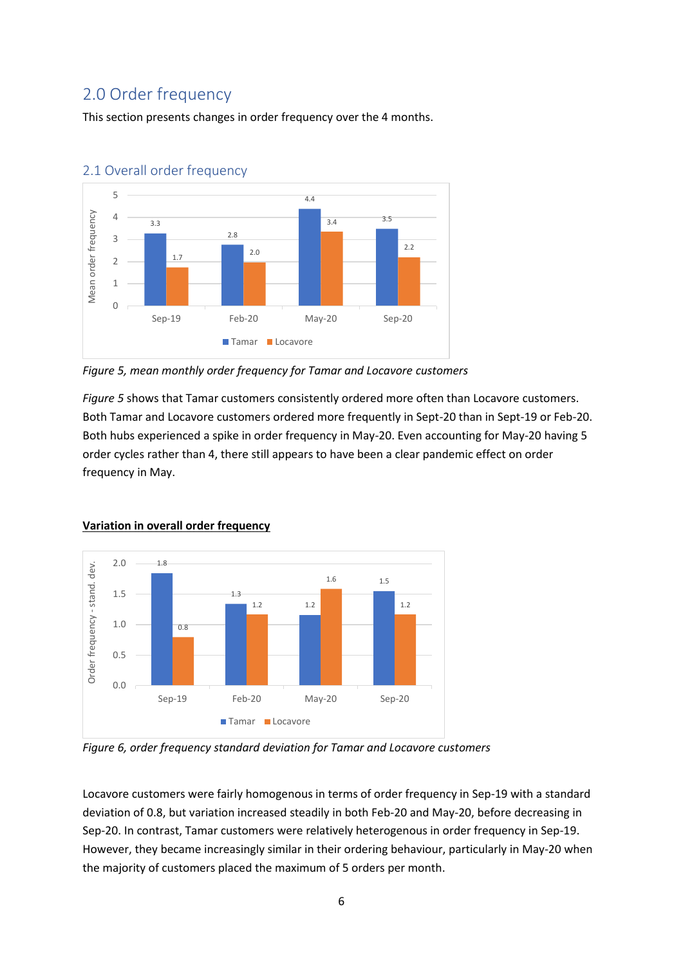# <span id="page-6-0"></span>2.0 Order frequency

This section presents changes in order frequency over the 4 months.



# <span id="page-6-1"></span>2.1 Overall order frequency

*Figure 5, mean monthly order frequency for Tamar and Locavore customers*

*Figure 5* shows that Tamar customers consistently ordered more often than Locavore customers. Both Tamar and Locavore customers ordered more frequently in Sept-20 than in Sept-19 or Feb-20. Both hubs experienced a spike in order frequency in May-20. Even accounting for May-20 having 5 order cycles rather than 4, there still appears to have been a clear pandemic effect on order frequency in May.



## **Variation in overall order frequency**

*Figure 6, order frequency standard deviation for Tamar and Locavore customers*

Locavore customers were fairly homogenous in terms of order frequency in Sep-19 with a standard deviation of 0.8, but variation increased steadily in both Feb-20 and May-20, before decreasing in Sep-20. In contrast, Tamar customers were relatively heterogenous in order frequency in Sep-19. However, they became increasingly similar in their ordering behaviour, particularly in May-20 when the majority of customers placed the maximum of 5 orders per month.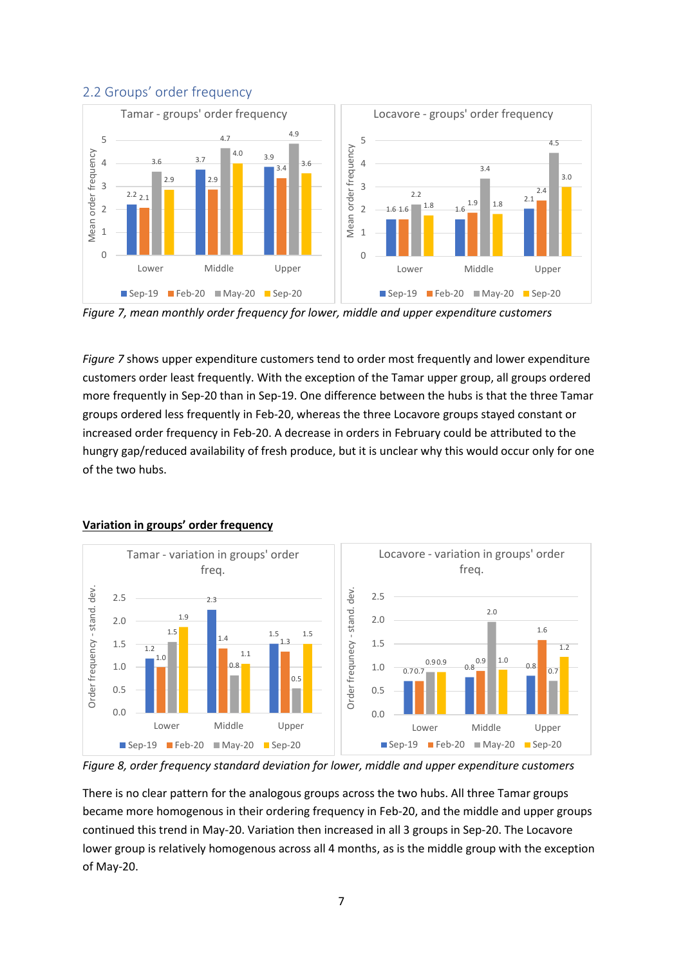

## <span id="page-7-0"></span>2.2 Groups' order frequency



*Figure 7* shows upper expenditure customers tend to order most frequently and lower expenditure customers order least frequently. With the exception of the Tamar upper group, all groups ordered more frequently in Sep-20 than in Sep-19. One difference between the hubs is that the three Tamar groups ordered less frequently in Feb-20, whereas the three Locavore groups stayed constant or increased order frequency in Feb-20. A decrease in orders in February could be attributed to the hungry gap/reduced availability of fresh produce, but it is unclear why this would occur only for one of the two hubs.



#### **Variation in groups' order frequency**

*Figure 8, order frequency standard deviation for lower, middle and upper expenditure customers*

There is no clear pattern for the analogous groups across the two hubs. All three Tamar groups became more homogenous in their ordering frequency in Feb-20, and the middle and upper groups continued this trend in May-20. Variation then increased in all 3 groups in Sep-20. The Locavore lower group is relatively homogenous across all 4 months, as is the middle group with the exception of May-20.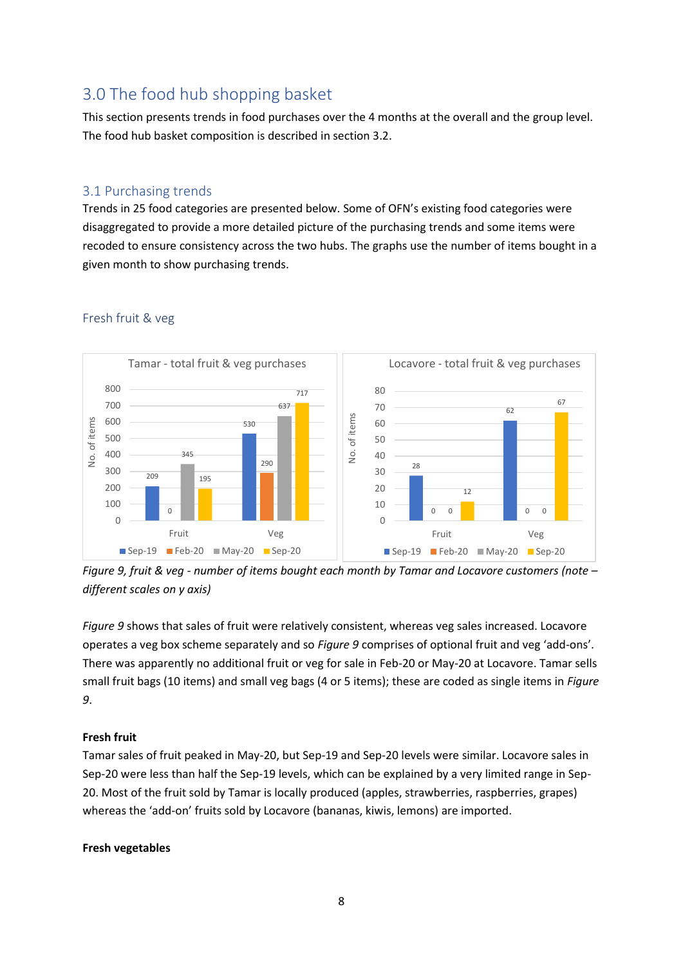# <span id="page-8-0"></span>3.0 The food hub shopping basket

This section presents trends in food purchases over the 4 months at the overall and the group level. The food hub basket composition is described in section 3.2.

## <span id="page-8-1"></span>3.1 Purchasing trends

Trends in 25 food categories are presented below. Some of OFN's existing food categories were disaggregated to provide a more detailed picture of the purchasing trends and some items were recoded to ensure consistency across the two hubs. The graphs use the number of items bought in a given month to show purchasing trends.



### <span id="page-8-2"></span>Fresh fruit & veg

*Figure 9, fruit & veg - number of items bought each month by Tamar and Locavore customers (note – different scales on y axis)*

*Figure 9* shows that sales of fruit were relatively consistent, whereas veg sales increased. Locavore operates a veg box scheme separately and so *Figure 9* comprises of optional fruit and veg 'add-ons'. There was apparently no additional fruit or veg for sale in Feb-20 or May-20 at Locavore. Tamar sells small fruit bags (10 items) and small veg bags (4 or 5 items); these are coded as single items in *Figure 9*.

## **Fresh fruit**

Tamar sales of fruit peaked in May-20, but Sep-19 and Sep-20 levels were similar. Locavore sales in Sep-20 were less than half the Sep-19 levels, which can be explained by a very limited range in Sep-20. Most of the fruit sold by Tamar is locally produced (apples, strawberries, raspberries, grapes) whereas the 'add-on' fruits sold by Locavore (bananas, kiwis, lemons) are imported.

## **Fresh vegetables**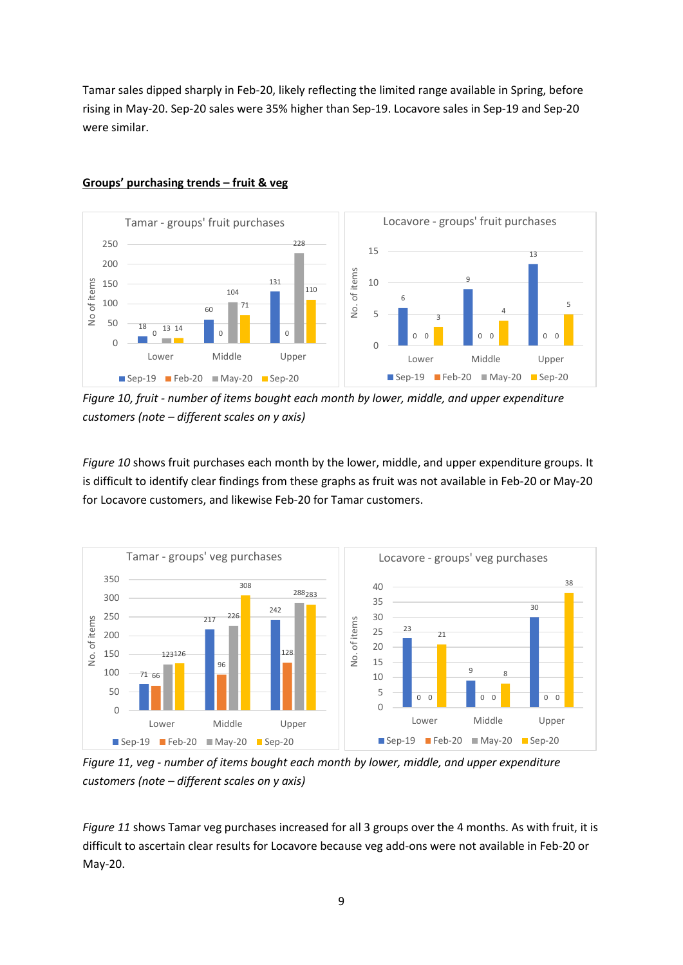Tamar sales dipped sharply in Feb-20, likely reflecting the limited range available in Spring, before rising in May-20. Sep-20 sales were 35% higher than Sep-19. Locavore sales in Sep-19 and Sep-20 were similar.



### **Groups' purchasing trends – fruit & veg**

*Figure 10, fruit - number of items bought each month by lower, middle, and upper expenditure customers (note – different scales on y axis)*

*Figure 10* shows fruit purchases each month by the lower, middle, and upper expenditure groups. It is difficult to identify clear findings from these graphs as fruit was not available in Feb-20 or May-20 for Locavore customers, and likewise Feb-20 for Tamar customers.



*Figure 11, veg - number of items bought each month by lower, middle, and upper expenditure customers (note – different scales on y axis)*

*Figure 11* shows Tamar veg purchases increased for all 3 groups over the 4 months. As with fruit, it is difficult to ascertain clear results for Locavore because veg add-ons were not available in Feb-20 or May-20.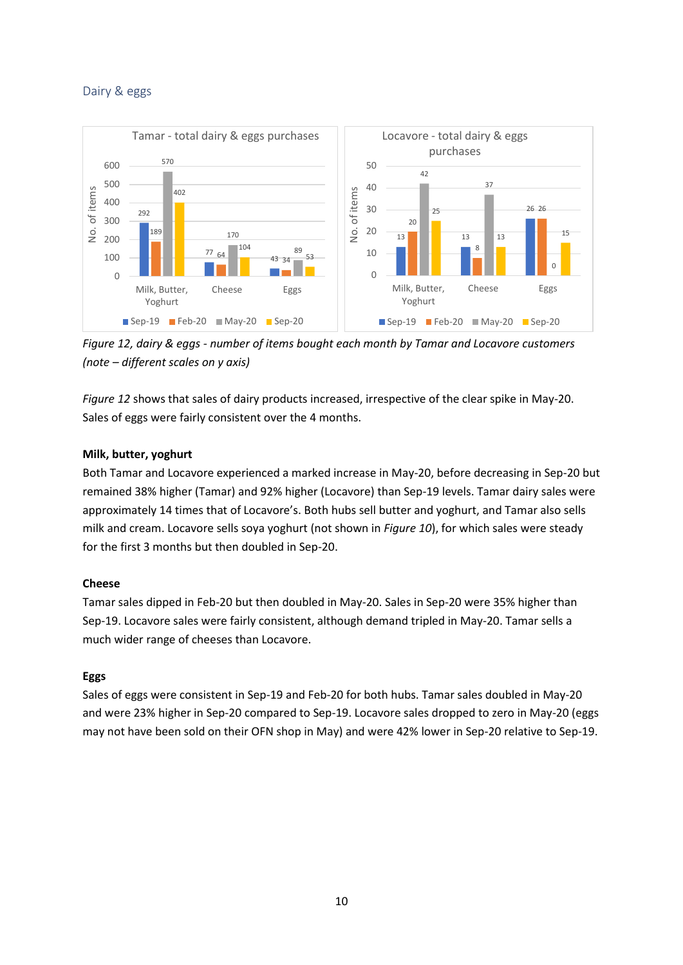## <span id="page-10-0"></span>Dairy & eggs



*Figure 12, dairy & eggs - number of items bought each month by Tamar and Locavore customers (note – different scales on y axis)*

*Figure 12* shows that sales of dairy products increased, irrespective of the clear spike in May-20. Sales of eggs were fairly consistent over the 4 months.

## **Milk, butter, yoghurt**

Both Tamar and Locavore experienced a marked increase in May-20, before decreasing in Sep-20 but remained 38% higher (Tamar) and 92% higher (Locavore) than Sep-19 levels. Tamar dairy sales were approximately 14 times that of Locavore's. Both hubs sell butter and yoghurt, and Tamar also sells milk and cream. Locavore sells soya yoghurt (not shown in *Figure 10*), for which sales were steady for the first 3 months but then doubled in Sep-20.

## **Cheese**

Tamar sales dipped in Feb-20 but then doubled in May-20. Sales in Sep-20 were 35% higher than Sep-19. Locavore sales were fairly consistent, although demand tripled in May-20. Tamar sells a much wider range of cheeses than Locavore.

#### **Eggs**

Sales of eggs were consistent in Sep-19 and Feb-20 for both hubs. Tamar sales doubled in May-20 and were 23% higher in Sep-20 compared to Sep-19. Locavore sales dropped to zero in May-20 (eggs may not have been sold on their OFN shop in May) and were 42% lower in Sep-20 relative to Sep-19.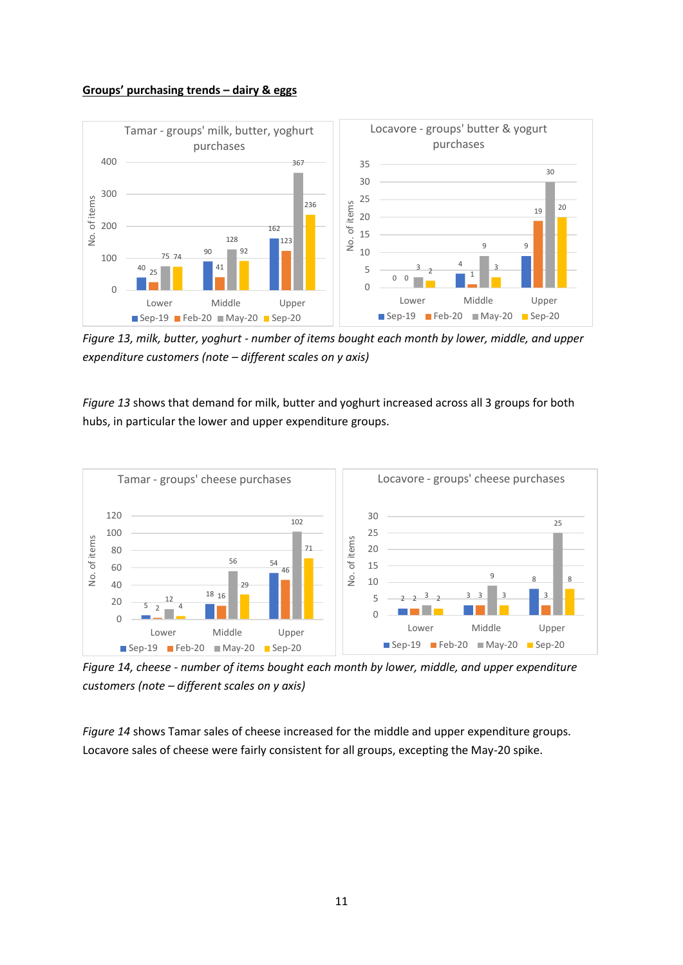#### **Groups' purchasing trends – dairy & eggs**



*Figure 13, milk, butter, yoghurt - number of items bought each month by lower, middle, and upper expenditure customers (note – different scales on y axis)*

*Figure 13* shows that demand for milk, butter and yoghurt increased across all 3 groups for both hubs, in particular the lower and upper expenditure groups.



*Figure 14, cheese - number of items bought each month by lower, middle, and upper expenditure customers (note – different scales on y axis)*

*Figure 14* shows Tamar sales of cheese increased for the middle and upper expenditure groups. Locavore sales of cheese were fairly consistent for all groups, excepting the May-20 spike.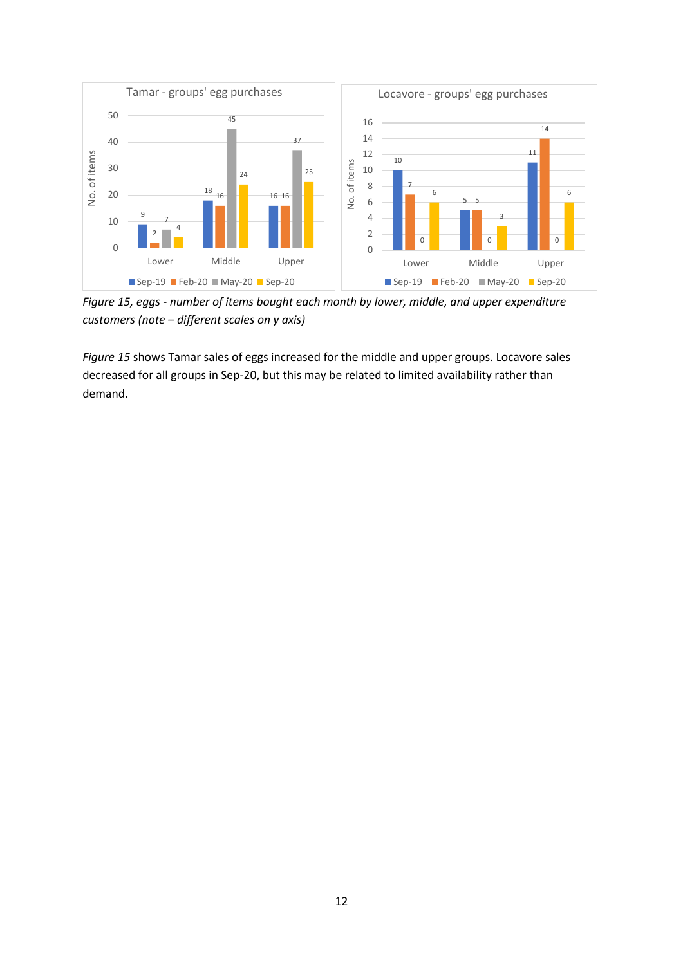

*Figure 15, eggs - number of items bought each month by lower, middle, and upper expenditure customers (note – different scales on y axis)*

*Figure 15* shows Tamar sales of eggs increased for the middle and upper groups. Locavore sales decreased for all groups in Sep-20, but this may be related to limited availability rather than demand.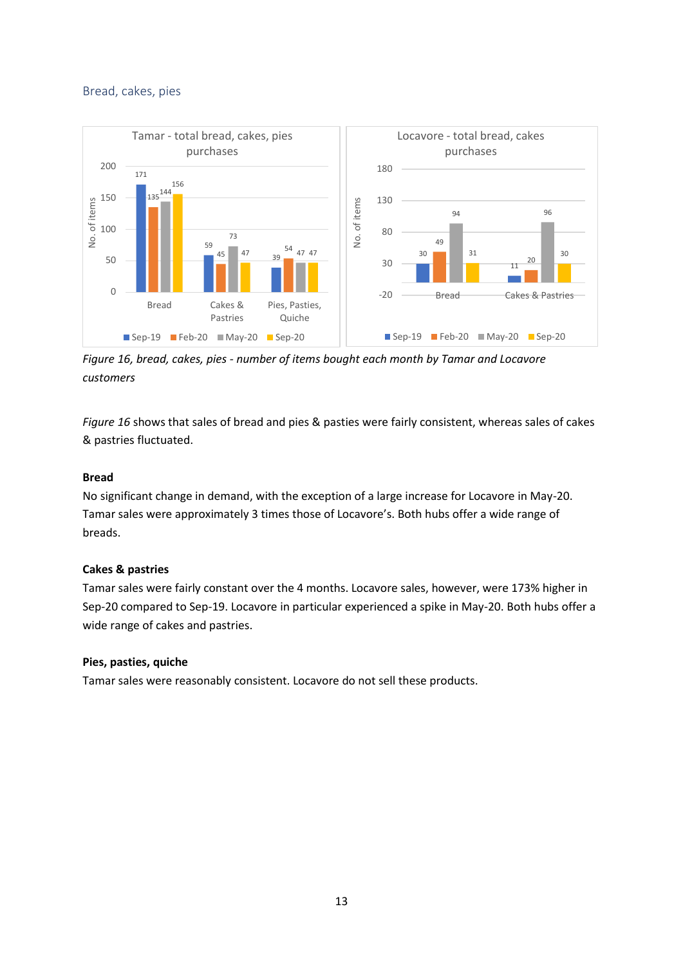### <span id="page-13-0"></span>Bread, cakes, pies



*Figure 16, bread, cakes, pies - number of items bought each month by Tamar and Locavore customers*

*Figure 16* shows that sales of bread and pies & pasties were fairly consistent, whereas sales of cakes & pastries fluctuated.

#### **Bread**

No significant change in demand, with the exception of a large increase for Locavore in May-20. Tamar sales were approximately 3 times those of Locavore's. Both hubs offer a wide range of breads.

#### **Cakes & pastries**

Tamar sales were fairly constant over the 4 months. Locavore sales, however, were 173% higher in Sep-20 compared to Sep-19. Locavore in particular experienced a spike in May-20. Both hubs offer a wide range of cakes and pastries.

#### **Pies, pasties, quiche**

Tamar sales were reasonably consistent. Locavore do not sell these products.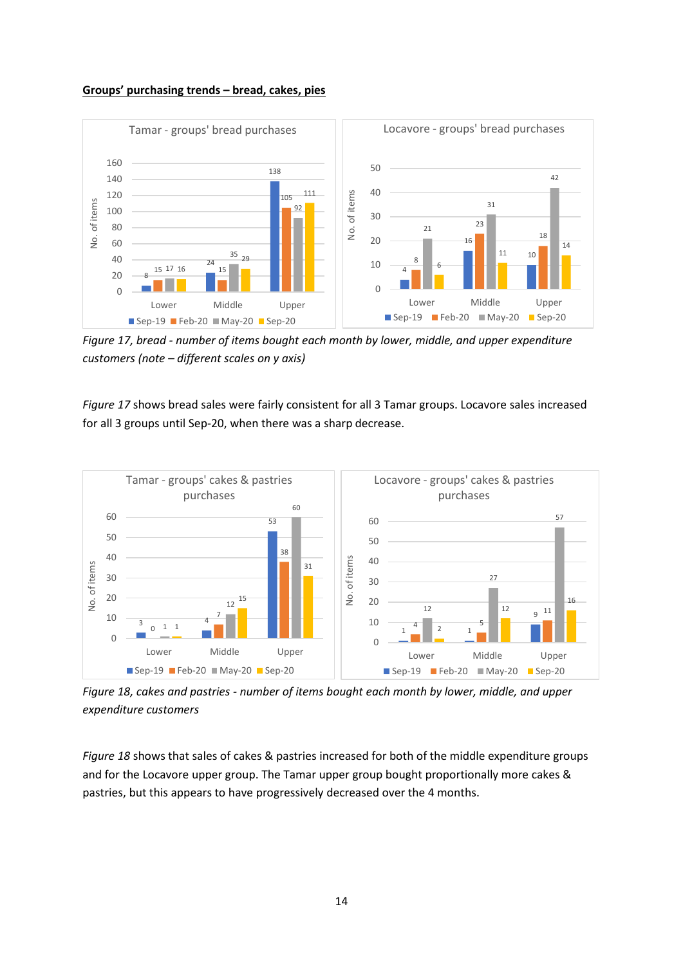



*Figure 17, bread - number of items bought each month by lower, middle, and upper expenditure customers (note – different scales on y axis)*

*Figure 17* shows bread sales were fairly consistent for all 3 Tamar groups. Locavore sales increased for all 3 groups until Sep-20, when there was a sharp decrease.



*Figure 18, cakes and pastries - number of items bought each month by lower, middle, and upper expenditure customers*

*Figure 18* shows that sales of cakes & pastries increased for both of the middle expenditure groups and for the Locavore upper group. The Tamar upper group bought proportionally more cakes & pastries, but this appears to have progressively decreased over the 4 months.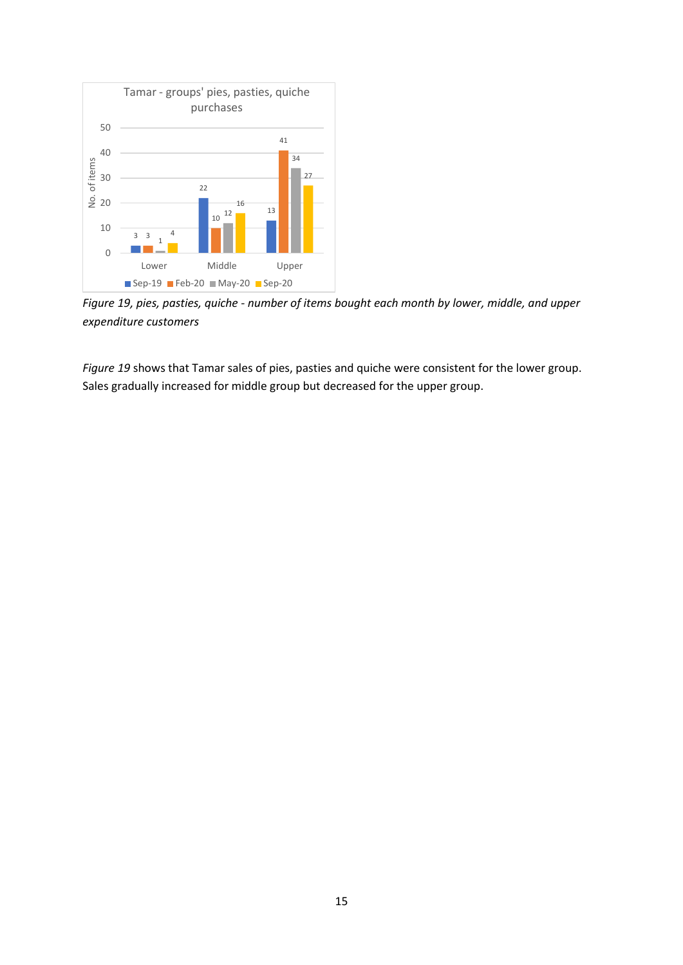

*Figure 19, pies, pasties, quiche - number of items bought each month by lower, middle, and upper expenditure customers*

*Figure 19* shows that Tamar sales of pies, pasties and quiche were consistent for the lower group. Sales gradually increased for middle group but decreased for the upper group.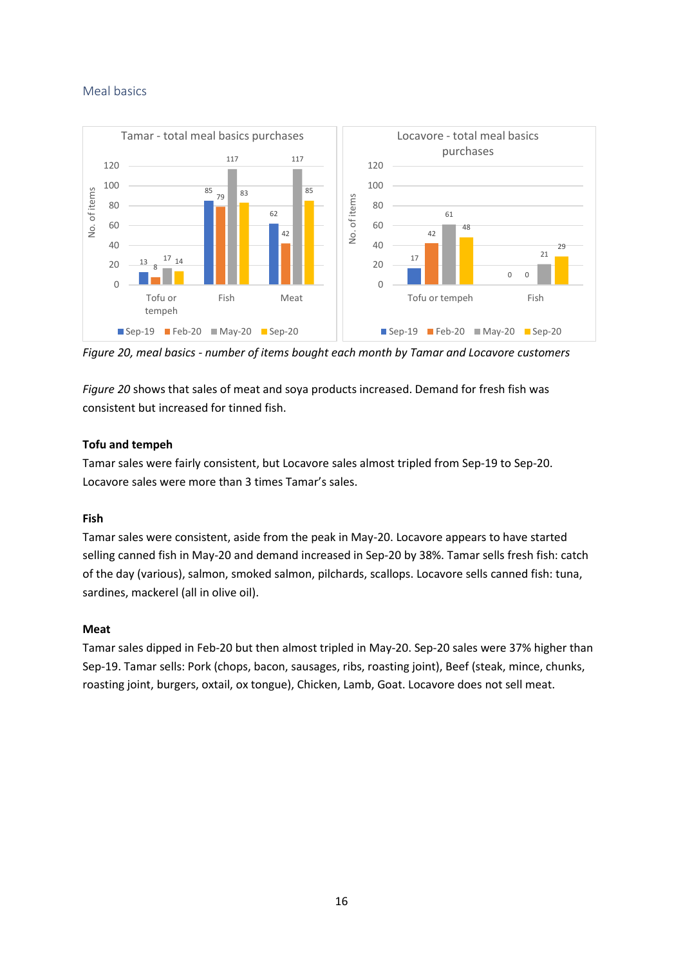## <span id="page-16-0"></span>Meal basics



*Figure 20, meal basics - number of items bought each month by Tamar and Locavore customers*

*Figure 20* shows that sales of meat and soya products increased. Demand for fresh fish was consistent but increased for tinned fish.

## **Tofu and tempeh**

Tamar sales were fairly consistent, but Locavore sales almost tripled from Sep-19 to Sep-20. Locavore sales were more than 3 times Tamar's sales.

## **Fish**

Tamar sales were consistent, aside from the peak in May-20. Locavore appears to have started selling canned fish in May-20 and demand increased in Sep-20 by 38%. Tamar sells fresh fish: catch of the day (various), salmon, smoked salmon, pilchards, scallops. Locavore sells canned fish: tuna, sardines, mackerel (all in olive oil).

#### **Meat**

Tamar sales dipped in Feb-20 but then almost tripled in May-20. Sep-20 sales were 37% higher than Sep-19. Tamar sells: Pork (chops, bacon, sausages, ribs, roasting joint), Beef (steak, mince, chunks, roasting joint, burgers, oxtail, ox tongue), Chicken, Lamb, Goat. Locavore does not sell meat.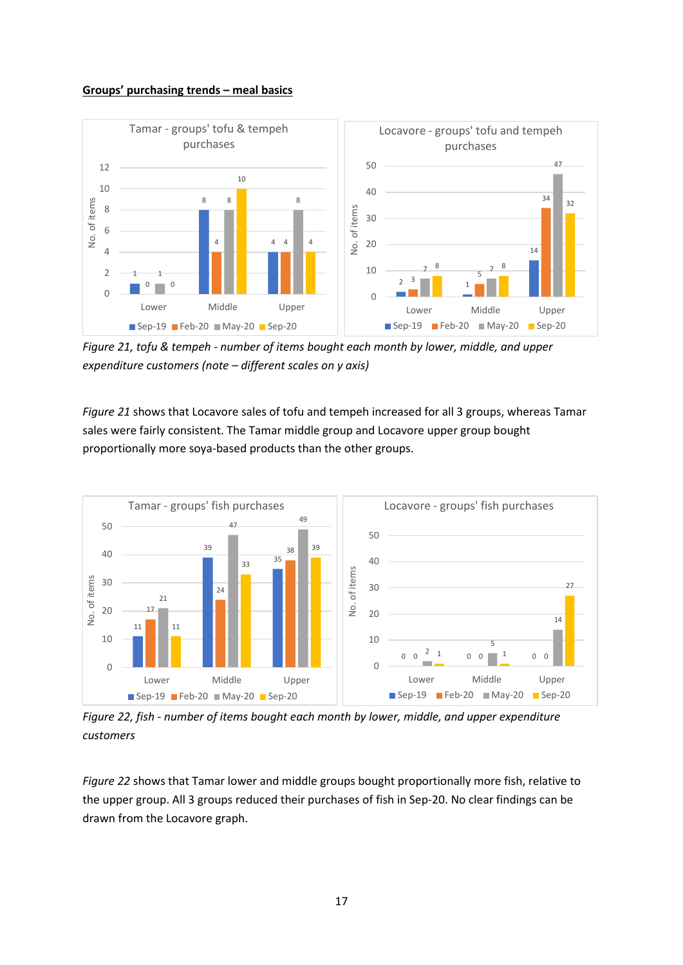#### **Groups' purchasing trends – meal basics**



*Figure 21, tofu & tempeh - number of items bought each month by lower, middle, and upper expenditure customers (note – different scales on y axis)*

*Figure 21* shows that Locavore sales of tofu and tempeh increased for all 3 groups, whereas Tamar sales were fairly consistent. The Tamar middle group and Locavore upper group bought proportionally more soya-based products than the other groups.



*Figure 22, fish - number of items bought each month by lower, middle, and upper expenditure customers*

*Figure 22* shows that Tamar lower and middle groups bought proportionally more fish, relative to the upper group. All 3 groups reduced their purchases of fish in Sep-20. No clear findings can be drawn from the Locavore graph.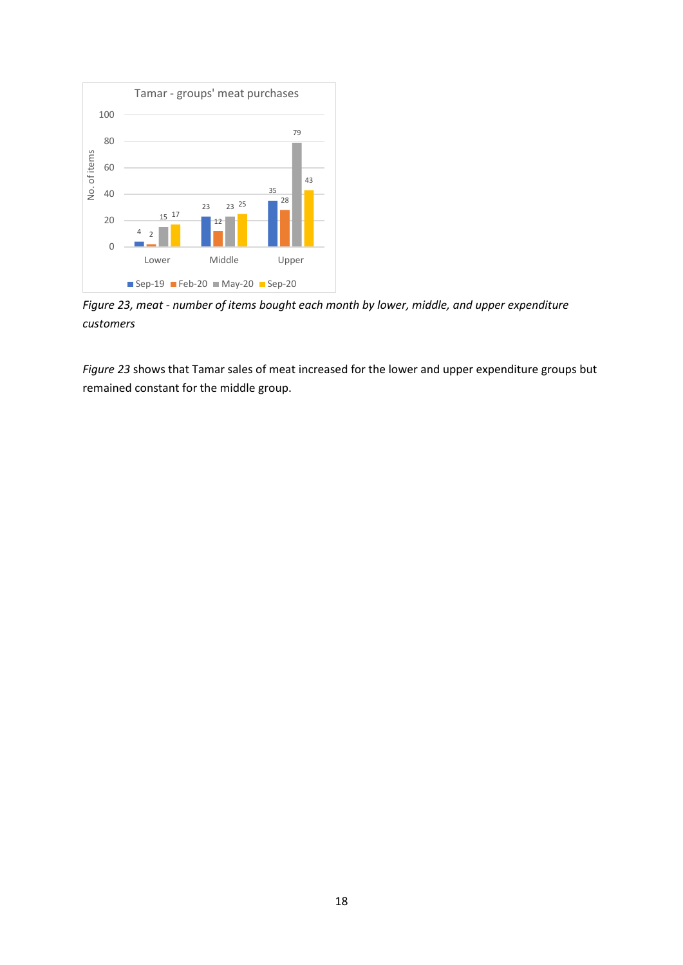

*Figure 23, meat - number of items bought each month by lower, middle, and upper expenditure customers*

*Figure 23* shows that Tamar sales of meat increased for the lower and upper expenditure groups but remained constant for the middle group.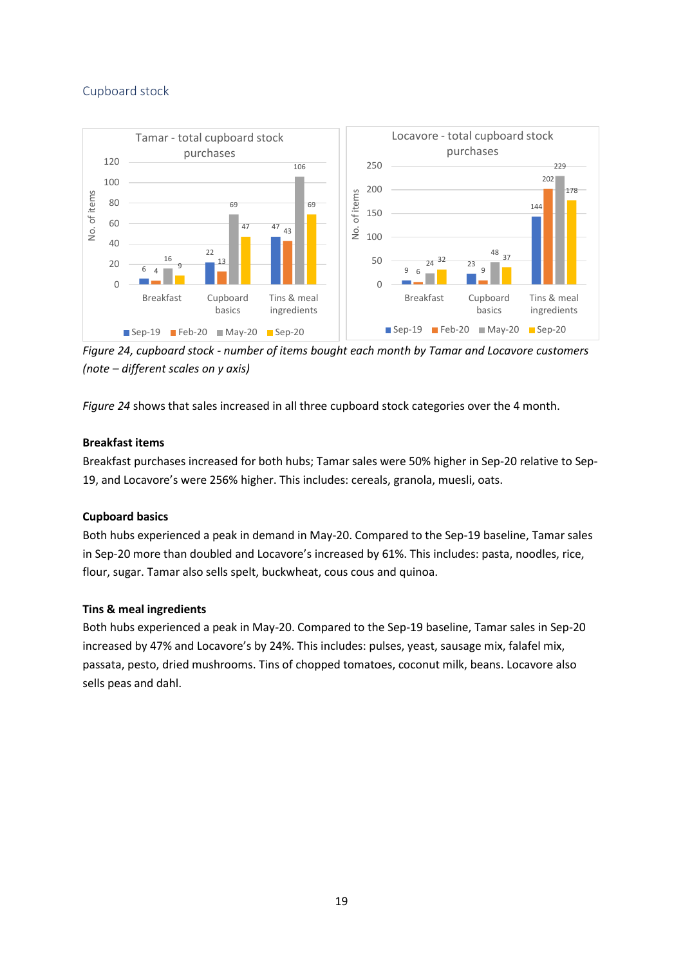## <span id="page-19-0"></span>Cupboard stock



*Figure 24, cupboard stock - number of items bought each month by Tamar and Locavore customers (note – different scales on y axis)*

*Figure 24* shows that sales increased in all three cupboard stock categories over the 4 month.

## **Breakfast items**

Breakfast purchases increased for both hubs; Tamar sales were 50% higher in Sep-20 relative to Sep-19, and Locavore's were 256% higher. This includes: cereals, granola, muesli, oats.

## **Cupboard basics**

Both hubs experienced a peak in demand in May-20. Compared to the Sep-19 baseline, Tamar sales in Sep-20 more than doubled and Locavore's increased by 61%. This includes: pasta, noodles, rice, flour, sugar. Tamar also sells spelt, buckwheat, cous cous and quinoa.

## **Tins & meal ingredients**

Both hubs experienced a peak in May-20. Compared to the Sep-19 baseline, Tamar sales in Sep-20 increased by 47% and Locavore's by 24%. This includes: pulses, yeast, sausage mix, falafel mix, passata, pesto, dried mushrooms. Tins of chopped tomatoes, coconut milk, beans. Locavore also sells peas and dahl.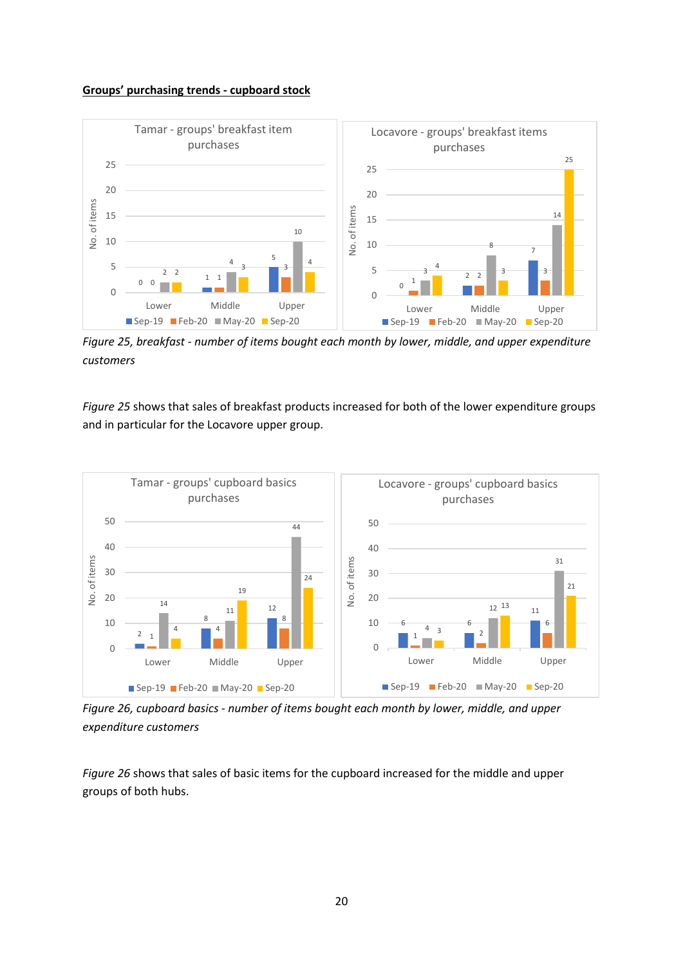#### **Groups' purchasing trends - cupboard stock**



*Figure 25, breakfast - number of items bought each month by lower, middle, and upper expenditure customers*

*Figure 25* shows that sales of breakfast products increased for both of the lower expenditure groups and in particular for the Locavore upper group.



*Figure 26, cupboard basics - number of items bought each month by lower, middle, and upper expenditure customers*

*Figure 26* shows that sales of basic items for the cupboard increased for the middle and upper groups of both hubs.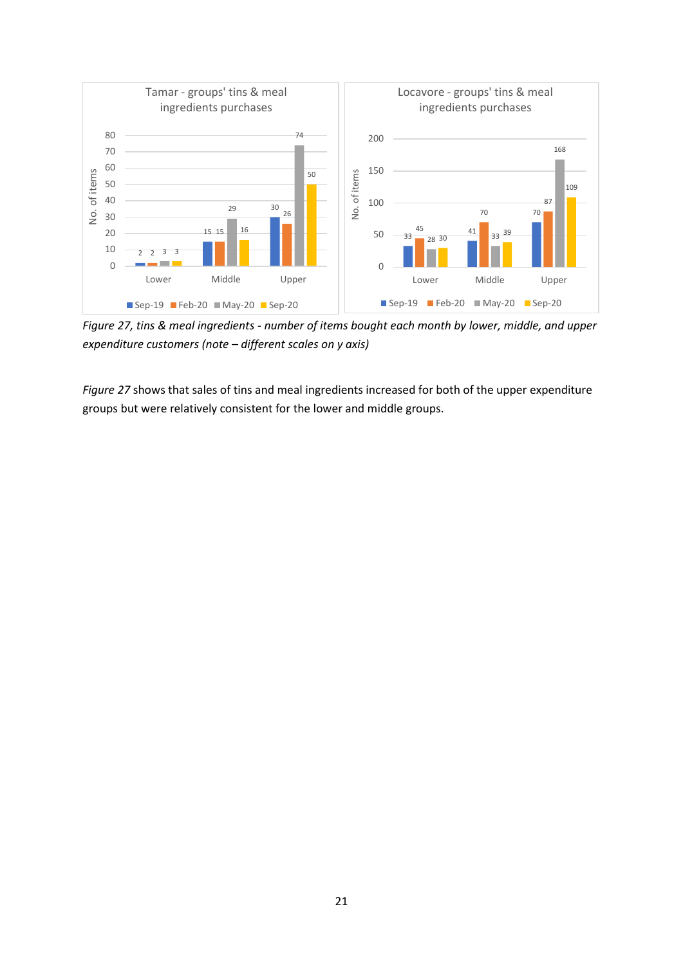

*Figure 27, tins & meal ingredients - number of items bought each month by lower, middle, and upper expenditure customers (note – different scales on y axis)*

*Figure 27* shows that sales of tins and meal ingredients increased for both of the upper expenditure groups but were relatively consistent for the lower and middle groups.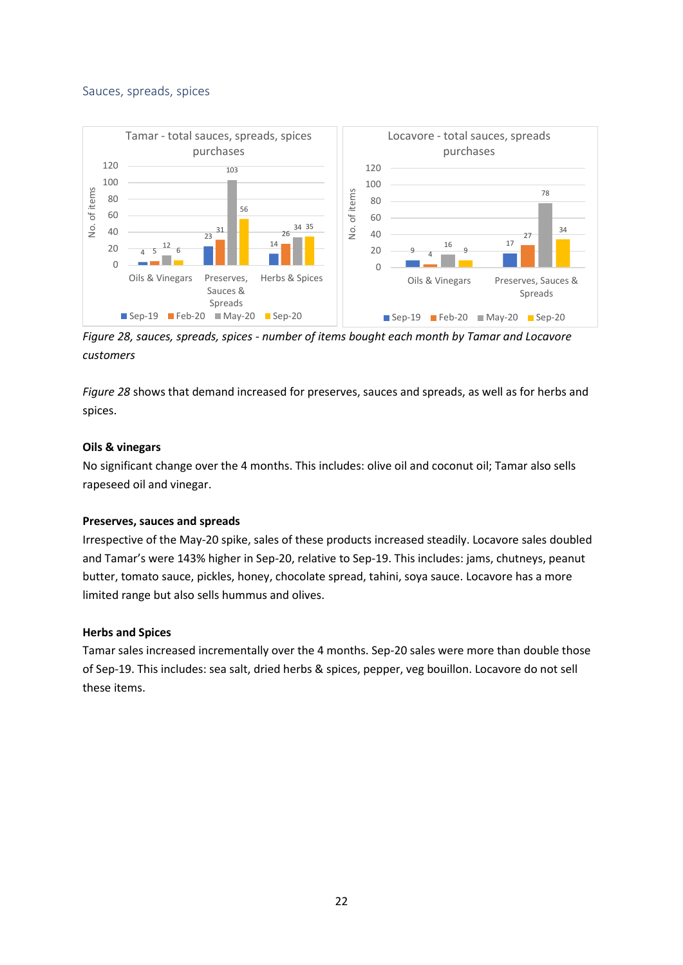### <span id="page-22-0"></span>Sauces, spreads, spices



*Figure 28, sauces, spreads, spices - number of items bought each month by Tamar and Locavore customers*

*Figure 28* shows that demand increased for preserves, sauces and spreads, as well as for herbs and spices.

### **Oils & vinegars**

No significant change over the 4 months. This includes: olive oil and coconut oil; Tamar also sells rapeseed oil and vinegar.

#### **Preserves, sauces and spreads**

Irrespective of the May-20 spike, sales of these products increased steadily. Locavore sales doubled and Tamar's were 143% higher in Sep-20, relative to Sep-19. This includes: jams, chutneys, peanut butter, tomato sauce, pickles, honey, chocolate spread, tahini, soya sauce. Locavore has a more limited range but also sells hummus and olives.

#### **Herbs and Spices**

Tamar sales increased incrementally over the 4 months. Sep-20 sales were more than double those of Sep-19. This includes: sea salt, dried herbs & spices, pepper, veg bouillon. Locavore do not sell these items.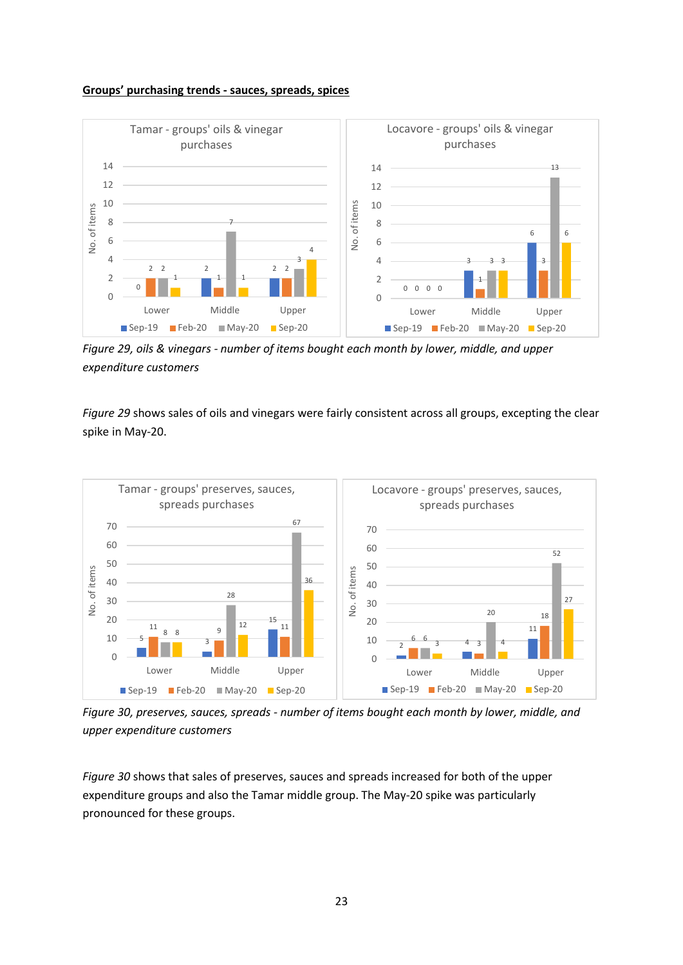#### **Groups' purchasing trends - sauces, spreads, spices**



*Figure 29, oils & vinegars - number of items bought each month by lower, middle, and upper expenditure customers*

*Figure 29* shows sales of oils and vinegars were fairly consistent across all groups, excepting the clear spike in May-20.



*Figure 30, preserves, sauces, spreads - number of items bought each month by lower, middle, and upper expenditure customers*

*Figure 30* shows that sales of preserves, sauces and spreads increased for both of the upper expenditure groups and also the Tamar middle group. The May-20 spike was particularly pronounced for these groups.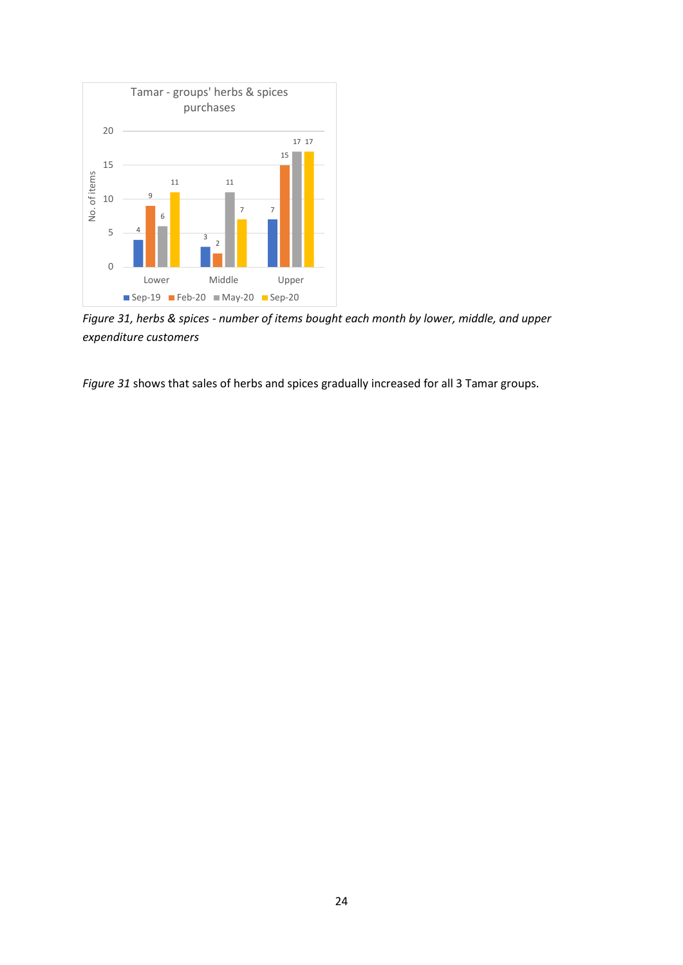

*Figure 31, herbs & spices - number of items bought each month by lower, middle, and upper expenditure customers*

*Figure 31* shows that sales of herbs and spices gradually increased for all 3 Tamar groups.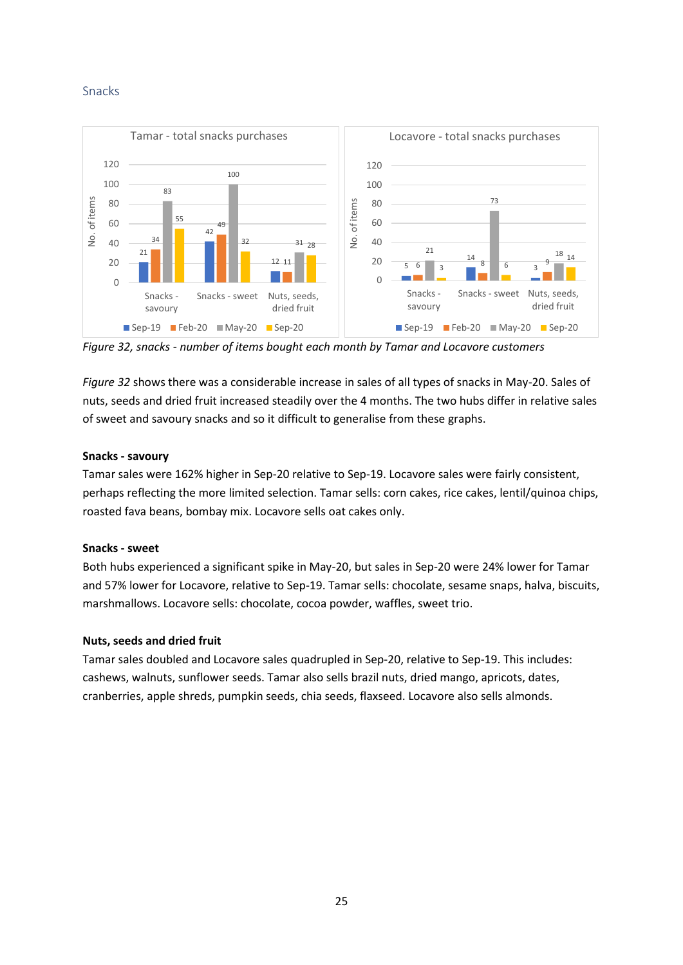### <span id="page-25-0"></span>Snacks



*Figure 32, snacks - number of items bought each month by Tamar and Locavore customers*

*Figure 32* shows there was a considerable increase in sales of all types of snacks in May-20. Sales of nuts, seeds and dried fruit increased steadily over the 4 months. The two hubs differ in relative sales of sweet and savoury snacks and so it difficult to generalise from these graphs.

#### **Snacks - savoury**

Tamar sales were 162% higher in Sep-20 relative to Sep-19. Locavore sales were fairly consistent, perhaps reflecting the more limited selection. Tamar sells: corn cakes, rice cakes, lentil/quinoa chips, roasted fava beans, bombay mix. Locavore sells oat cakes only.

#### **Snacks - sweet**

Both hubs experienced a significant spike in May-20, but sales in Sep-20 were 24% lower for Tamar and 57% lower for Locavore, relative to Sep-19. Tamar sells: chocolate, sesame snaps, halva, biscuits, marshmallows. Locavore sells: chocolate, cocoa powder, waffles, sweet trio.

#### **Nuts, seeds and dried fruit**

Tamar sales doubled and Locavore sales quadrupled in Sep-20, relative to Sep-19. This includes: cashews, walnuts, sunflower seeds. Tamar also sells brazil nuts, dried mango, apricots, dates, cranberries, apple shreds, pumpkin seeds, chia seeds, flaxseed. Locavore also sells almonds.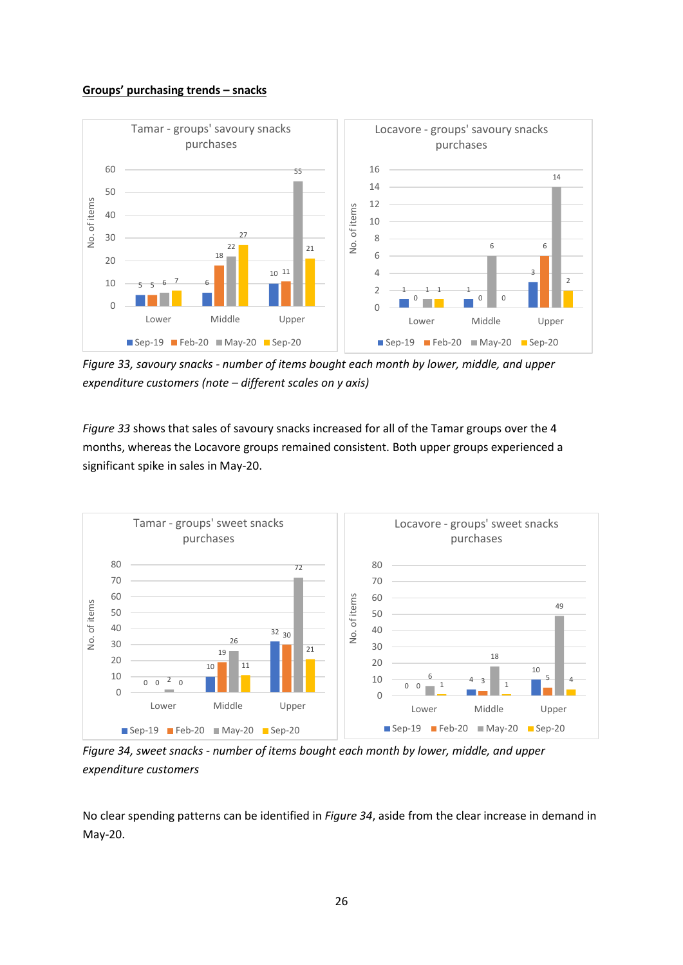#### **Groups' purchasing trends – snacks**



*Figure 33, savoury snacks - number of items bought each month by lower, middle, and upper expenditure customers (note – different scales on y axis)*

*Figure 33* shows that sales of savoury snacks increased for all of the Tamar groups over the 4 months, whereas the Locavore groups remained consistent. Both upper groups experienced a significant spike in sales in May-20.



*Figure 34, sweet snacks - number of items bought each month by lower, middle, and upper expenditure customers*

No clear spending patterns can be identified in *Figure 34*, aside from the clear increase in demand in May-20.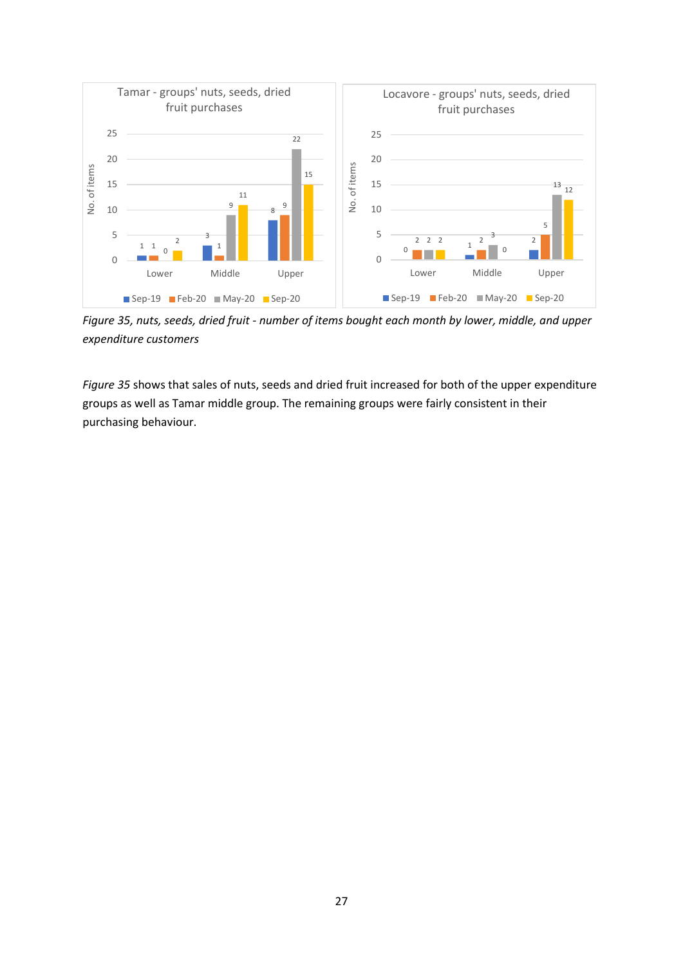

*Figure 35, nuts, seeds, dried fruit - number of items bought each month by lower, middle, and upper expenditure customers*

*Figure 35* shows that sales of nuts, seeds and dried fruit increased for both of the upper expenditure groups as well as Tamar middle group. The remaining groups were fairly consistent in their purchasing behaviour.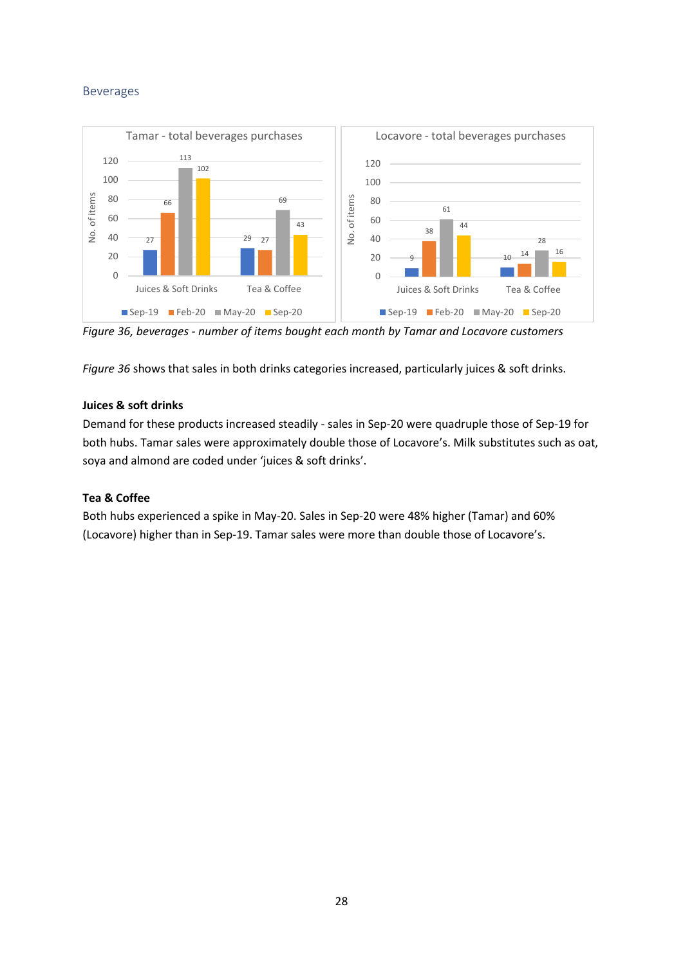## <span id="page-28-0"></span>Beverages



*Figure 36, beverages - number of items bought each month by Tamar and Locavore customers*

*Figure 36* shows that sales in both drinks categories increased, particularly juices & soft drinks.

## **Juices & soft drinks**

Demand for these products increased steadily - sales in Sep-20 were quadruple those of Sep-19 for both hubs. Tamar sales were approximately double those of Locavore's. Milk substitutes such as oat, soya and almond are coded under 'juices & soft drinks'.

## **Tea & Coffee**

Both hubs experienced a spike in May-20. Sales in Sep-20 were 48% higher (Tamar) and 60% (Locavore) higher than in Sep-19. Tamar sales were more than double those of Locavore's.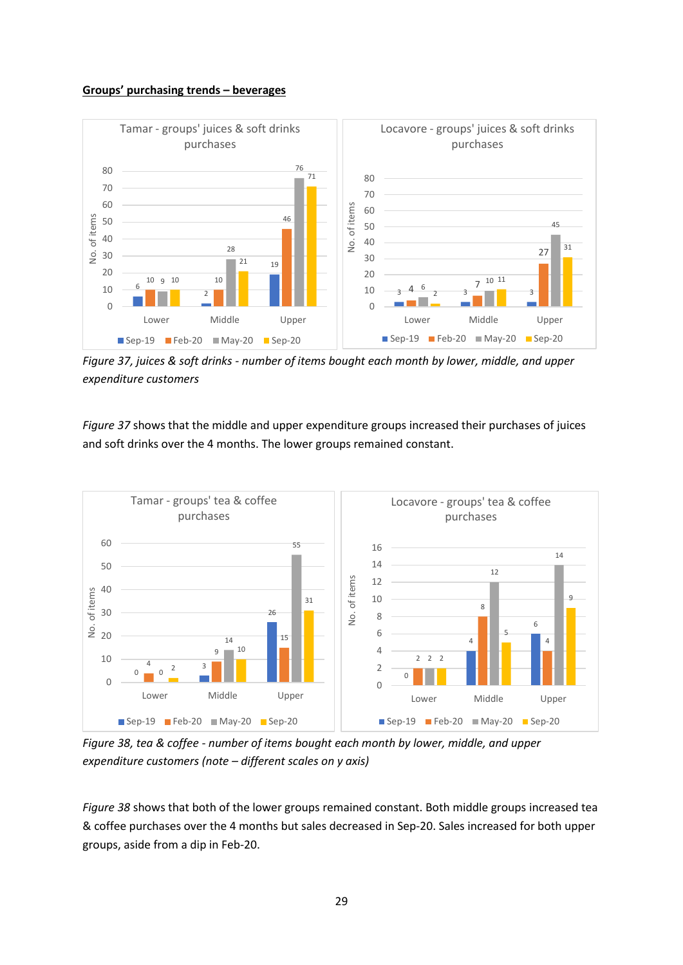#### **Groups' purchasing trends – beverages**



*Figure 37, juices & soft drinks - number of items bought each month by lower, middle, and upper expenditure customers*

*Figure 37* shows that the middle and upper expenditure groups increased their purchases of juices and soft drinks over the 4 months. The lower groups remained constant.



*Figure 38, tea & coffee - number of items bought each month by lower, middle, and upper expenditure customers (note – different scales on y axis)*

*Figure 38* shows that both of the lower groups remained constant. Both middle groups increased tea & coffee purchases over the 4 months but sales decreased in Sep-20. Sales increased for both upper groups, aside from a dip in Feb-20.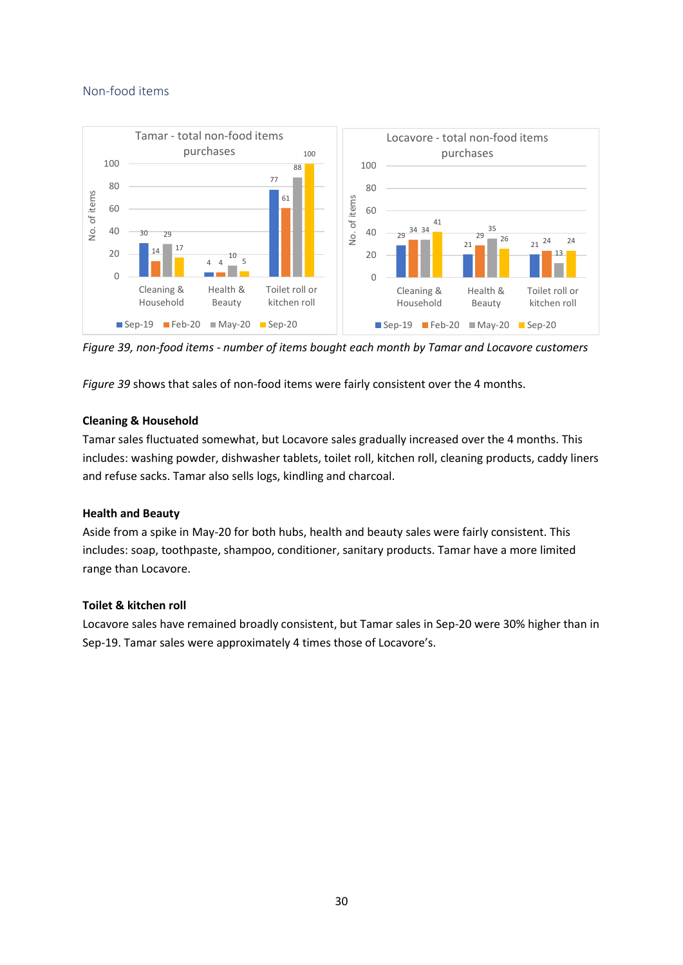### <span id="page-30-0"></span>Non-food items



*Figure 39, non-food items - number of items bought each month by Tamar and Locavore customers*

*Figure 39* shows that sales of non-food items were fairly consistent over the 4 months.

### **Cleaning & Household**

Tamar sales fluctuated somewhat, but Locavore sales gradually increased over the 4 months. This includes: washing powder, dishwasher tablets, toilet roll, kitchen roll, cleaning products, caddy liners and refuse sacks. Tamar also sells logs, kindling and charcoal.

#### **Health and Beauty**

Aside from a spike in May-20 for both hubs, health and beauty sales were fairly consistent. This includes: soap, toothpaste, shampoo, conditioner, sanitary products. Tamar have a more limited range than Locavore.

#### **Toilet & kitchen roll**

Locavore sales have remained broadly consistent, but Tamar sales in Sep-20 were 30% higher than in Sep-19. Tamar sales were approximately 4 times those of Locavore's.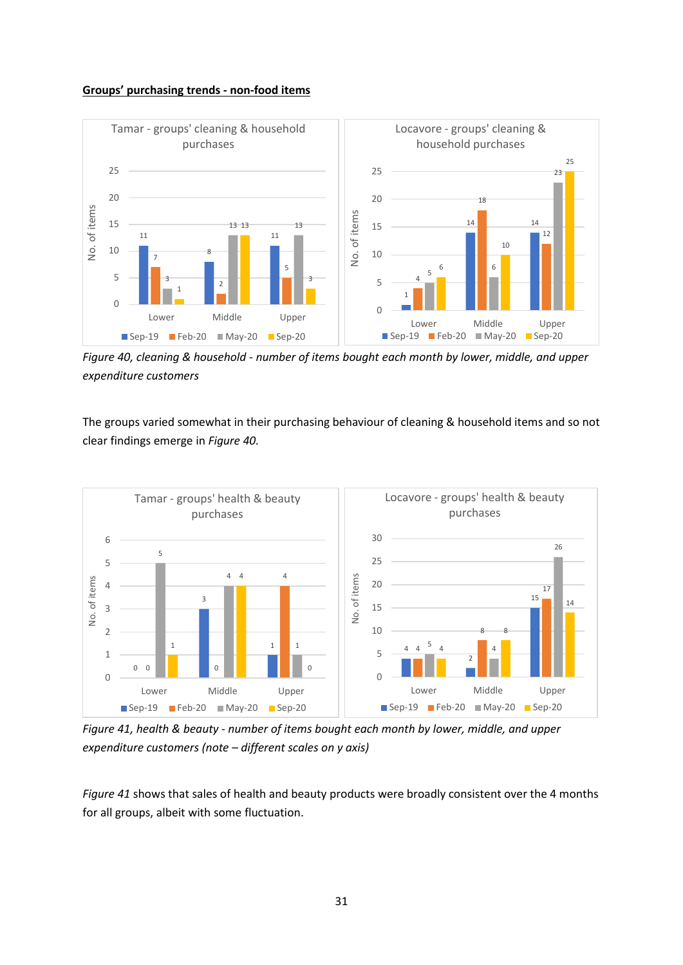#### **Groups' purchasing trends - non-food items**



*Figure 40, cleaning & household - number of items bought each month by lower, middle, and upper expenditure customers*

The groups varied somewhat in their purchasing behaviour of cleaning & household items and so not clear findings emerge in *Figure 40.*



*Figure 41, health & beauty - number of items bought each month by lower, middle, and upper expenditure customers (note – different scales on y axis)*

*Figure 41* shows that sales of health and beauty products were broadly consistent over the 4 months for all groups, albeit with some fluctuation.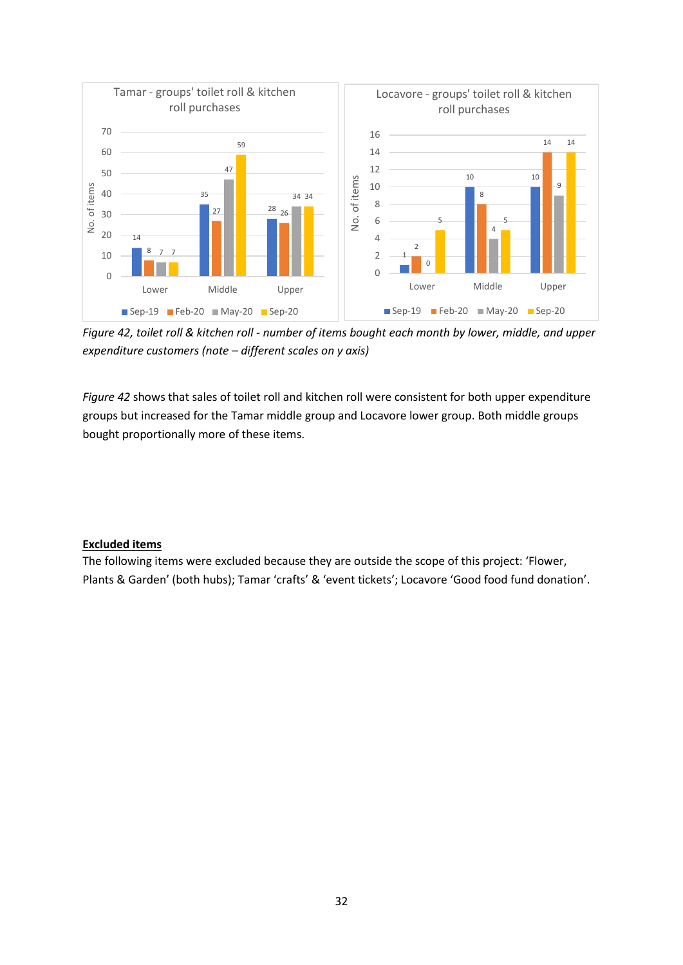

*Figure 42, toilet roll & kitchen roll - number of items bought each month by lower, middle, and upper expenditure customers (note – different scales on y axis)*

*Figure 42* shows that sales of toilet roll and kitchen roll were consistent for both upper expenditure groups but increased for the Tamar middle group and Locavore lower group. Both middle groups bought proportionally more of these items.

#### **Excluded items**

The following items were excluded because they are outside the scope of this project: 'Flower, Plants & Garden' (both hubs); Tamar 'crafts' & 'event tickets'; Locavore 'Good food fund donation'.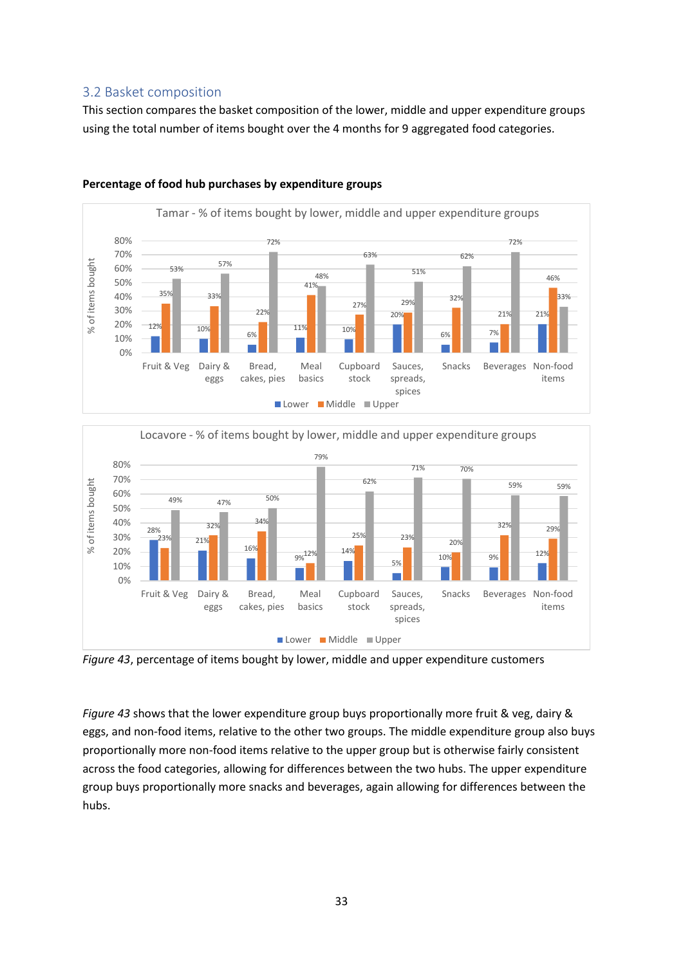## <span id="page-33-0"></span>3.2 Basket composition

This section compares the basket composition of the lower, middle and upper expenditure groups using the total number of items bought over the 4 months for 9 aggregated food categories.



#### **Percentage of food hub purchases by expenditure groups**





*Figure 43* shows that the lower expenditure group buys proportionally more fruit & veg, dairy & eggs, and non-food items, relative to the other two groups. The middle expenditure group also buys proportionally more non-food items relative to the upper group but is otherwise fairly consistent across the food categories, allowing for differences between the two hubs. The upper expenditure group buys proportionally more snacks and beverages, again allowing for differences between the hubs.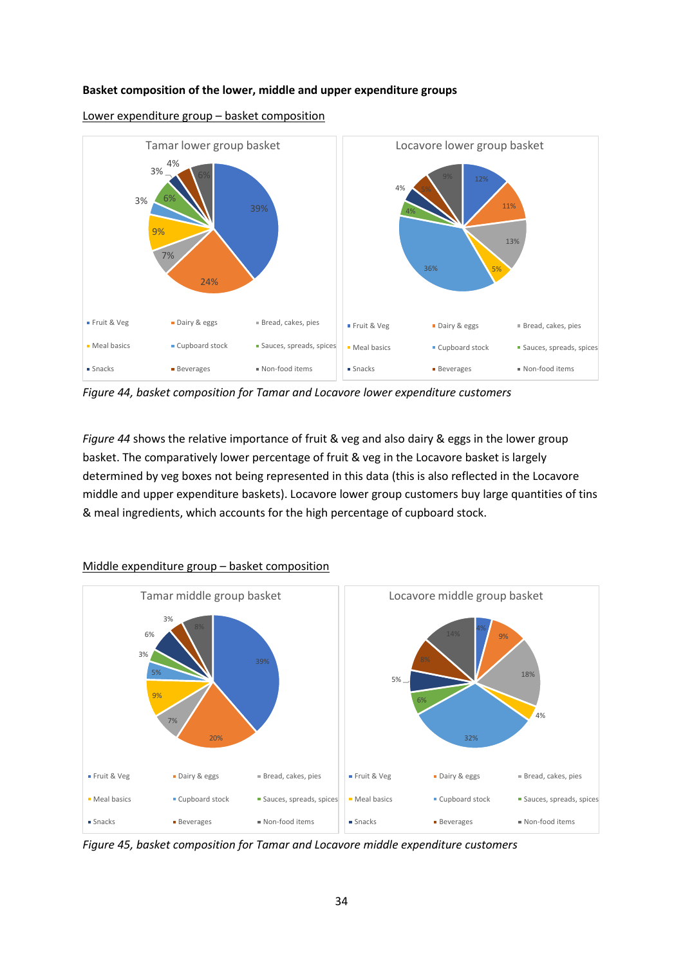#### **Basket composition of the lower, middle and upper expenditure groups**



Lower expenditure group – basket composition

*Figure 44, basket composition for Tamar and Locavore lower expenditure customers*

*Figure 44* shows the relative importance of fruit & veg and also dairy & eggs in the lower group basket. The comparatively lower percentage of fruit & veg in the Locavore basket is largely determined by veg boxes not being represented in this data (this is also reflected in the Locavore middle and upper expenditure baskets). Locavore lower group customers buy large quantities of tins & meal ingredients, which accounts for the high percentage of cupboard stock.



#### Middle expenditure group – basket composition

*Figure 45, basket composition for Tamar and Locavore middle expenditure customers*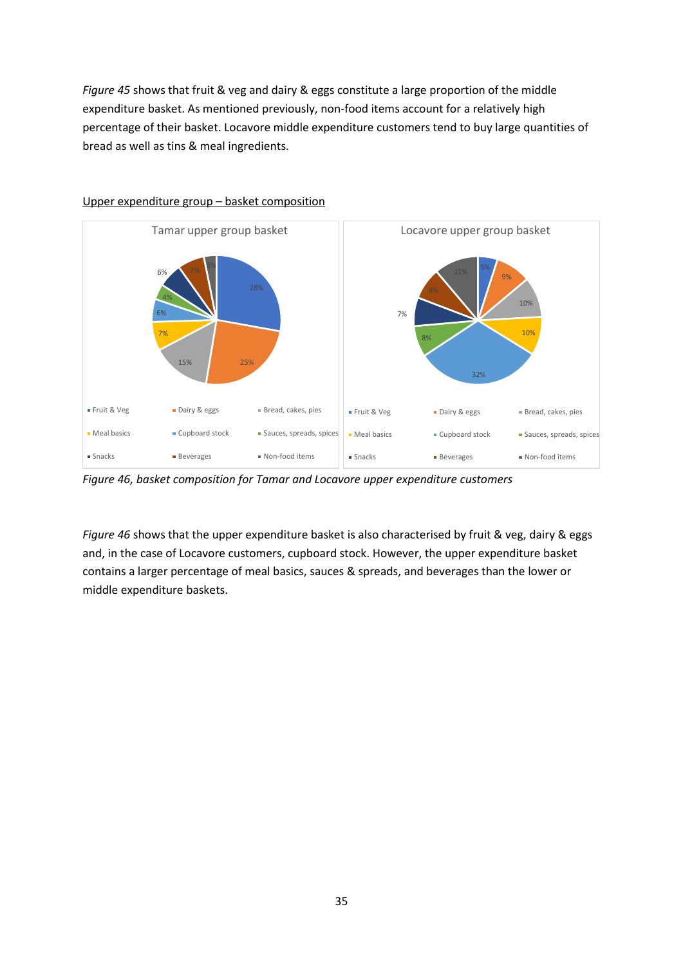*Figure 45* shows that fruit & veg and dairy & eggs constitute a large proportion of the middle expenditure basket. As mentioned previously, non-food items account for a relatively high percentage of their basket. Locavore middle expenditure customers tend to buy large quantities of bread as well as tins & meal ingredients.



## Upper expenditure group – basket composition

*Figure 46, basket composition for Tamar and Locavore upper expenditure customers*

*Figure 46* shows that the upper expenditure basket is also characterised by fruit & veg, dairy & eggs and, in the case of Locavore customers, cupboard stock. However, the upper expenditure basket contains a larger percentage of meal basics, sauces & spreads, and beverages than the lower or middle expenditure baskets.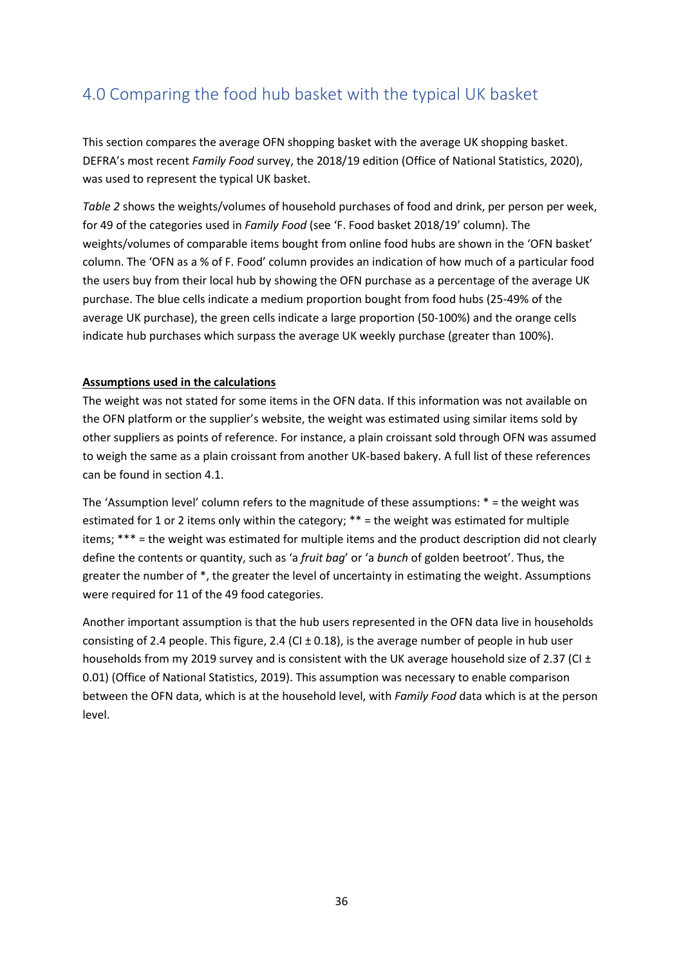# <span id="page-36-0"></span>4.0 Comparing the food hub basket with the typical UK basket

This section compares the average OFN shopping basket with the average UK shopping basket. DEFRA's most recent *Family Food* survey, the 2018/19 edition (Office of National Statistics, 2020), was used to represent the typical UK basket.

*Table 2* shows the weights/volumes of household purchases of food and drink, per person per week, for 49 of the categories used in *Family Food* (see 'F. Food basket 2018/19' column). The weights/volumes of comparable items bought from online food hubs are shown in the 'OFN basket' column. The 'OFN as a % of F. Food' column provides an indication of how much of a particular food the users buy from their local hub by showing the OFN purchase as a percentage of the average UK purchase. The blue cells indicate a medium proportion bought from food hubs (25-49% of the average UK purchase), the green cells indicate a large proportion (50-100%) and the orange cells indicate hub purchases which surpass the average UK weekly purchase (greater than 100%).

### **Assumptions used in the calculations**

The weight was not stated for some items in the OFN data. If this information was not available on the OFN platform or the supplier's website, the weight was estimated using similar items sold by other suppliers as points of reference. For instance, a plain croissant sold through OFN was assumed to weigh the same as a plain croissant from another UK-based bakery. A full list of these references can be found in section 4.1.

The 'Assumption level' column refers to the magnitude of these assumptions: \* = the weight was estimated for 1 or 2 items only within the category; \*\* = the weight was estimated for multiple items; \*\*\* = the weight was estimated for multiple items and the product description did not clearly define the contents or quantity, such as 'a *fruit bag*' or 'a *bunch* of golden beetroot'. Thus, the greater the number of \*, the greater the level of uncertainty in estimating the weight. Assumptions were required for 11 of the 49 food categories.

Another important assumption is that the hub users represented in the OFN data live in households consisting of 2.4 people. This figure, 2.4 (CI ± 0.18), is the average number of people in hub user households from my 2019 survey and is consistent with the UK average household size of 2.37 (CI  $\pm$ 0.01) (Office of National Statistics, 2019). This assumption was necessary to enable comparison between the OFN data, which is at the household level, with *Family Food* data which is at the person level.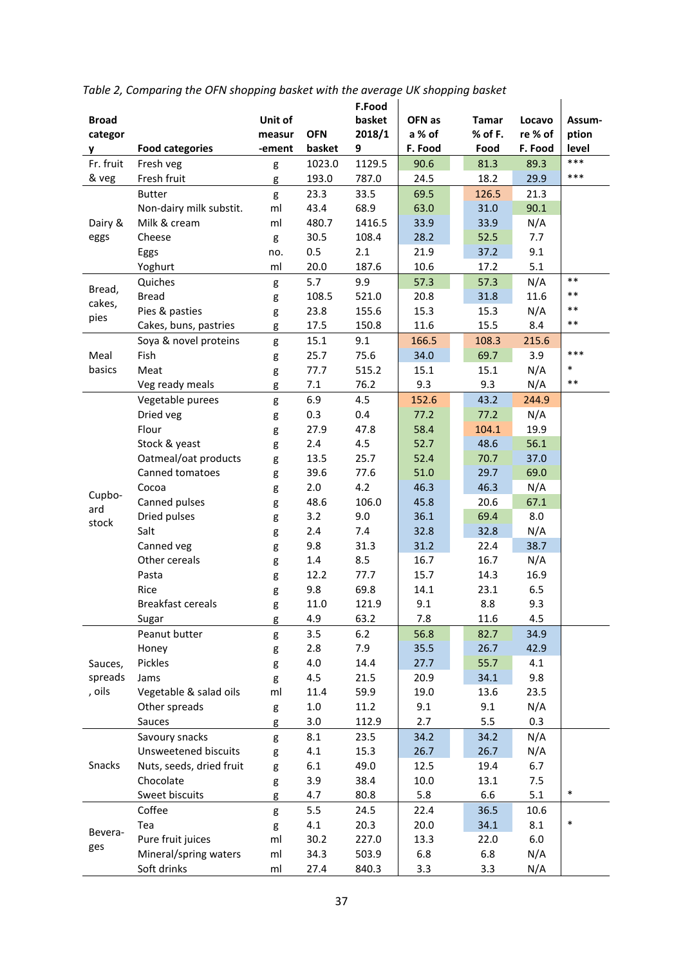|              |                             |         |            | F.Food |         |         |         |        |
|--------------|-----------------------------|---------|------------|--------|---------|---------|---------|--------|
| <b>Broad</b> |                             | Unit of |            | basket | OFN as  | Tamar   | Locavo  | Assum- |
| categor      |                             | measur  | <b>OFN</b> | 2018/1 | a % of  | % of F. | re % of | ption  |
| y            | <b>Food categories</b>      | -ement  | basket     | 9      | F. Food | Food    | F. Food | level  |
| Fr. fruit    | Fresh veg                   | g       | 1023.0     | 1129.5 | 90.6    | 81.3    | 89.3    | $***$  |
| & veg        | Fresh fruit                 | g       | 193.0      | 787.0  | 24.5    | 18.2    | 29.9    | $***$  |
|              | <b>Butter</b>               | g       | 23.3       | 33.5   | 69.5    | 126.5   | 21.3    |        |
|              | Non-dairy milk substit.     | ml      | 43.4       | 68.9   | 63.0    | 31.0    | 90.1    |        |
| Dairy &      | Milk & cream                | ml      | 480.7      | 1416.5 | 33.9    | 33.9    | N/A     |        |
| eggs         | Cheese                      | g       | 30.5       | 108.4  | 28.2    | 52.5    | 7.7     |        |
|              | Eggs                        | no.     | 0.5        | 2.1    | 21.9    | 37.2    | 9.1     |        |
|              | Yoghurt                     | ml      | 20.0       | 187.6  | 10.6    | 17.2    | 5.1     |        |
|              | Quiches                     | g       | 5.7        | 9.9    | 57.3    | 57.3    | N/A     | $***$  |
| Bread,       | <b>Bread</b>                | g       | 108.5      | 521.0  | 20.8    | 31.8    | 11.6    | $***$  |
| cakes,       | Pies & pasties              | g       | 23.8       | 155.6  | 15.3    | 15.3    | N/A     | $***$  |
| pies         | Cakes, buns, pastries       | g       | 17.5       | 150.8  | 11.6    | 15.5    | 8.4     | $***$  |
|              | Soya & novel proteins       | g       | 15.1       | 9.1    | 166.5   | 108.3   | 215.6   |        |
| Meal         | Fish                        | g       | 25.7       | 75.6   | 34.0    | 69.7    | 3.9     | $***$  |
| basics       | Meat                        | g       | 77.7       | 515.2  | 15.1    | 15.1    | N/A     | $\ast$ |
|              | Veg ready meals             | g       | 7.1        | 76.2   | 9.3     | 9.3     | N/A     | $***$  |
|              | Vegetable purees            | g       | 6.9        | 4.5    | 152.6   | 43.2    | 244.9   |        |
|              | Dried veg                   | g       | 0.3        | 0.4    | 77.2    | 77.2    | N/A     |        |
|              | Flour                       | g       | 27.9       | 47.8   | 58.4    | 104.1   | 19.9    |        |
|              | Stock & yeast               | g       | 2.4        | 4.5    | 52.7    | 48.6    | 56.1    |        |
|              | Oatmeal/oat products        | g       | 13.5       | 25.7   | 52.4    | 70.7    | 37.0    |        |
|              | Canned tomatoes             | g       | 39.6       | 77.6   | 51.0    | 29.7    | 69.0    |        |
|              | Cocoa                       | g       | 2.0        | 4.2    | 46.3    | 46.3    | N/A     |        |
| Cupbo-       | Canned pulses               |         | 48.6       | 106.0  | 45.8    | 20.6    | 67.1    |        |
| ard          | Dried pulses                | g       | 3.2        | 9.0    | 36.1    | 69.4    | 8.0     |        |
| stock        | Salt                        | g       | 2.4        | 7.4    | 32.8    | 32.8    | N/A     |        |
|              |                             | g       | 9.8        | 31.3   | 31.2    | 22.4    | 38.7    |        |
|              | Canned veg<br>Other cereals | g       |            |        |         | 16.7    |         |        |
|              |                             | g       | 1.4        | 8.5    | 16.7    |         | N/A     |        |
|              | Pasta                       | g       | 12.2       | 77.7   | 15.7    | 14.3    | 16.9    |        |
|              | Rice                        | g       | 9.8        | 69.8   | 14.1    | 23.1    | 6.5     |        |
|              | <b>Breakfast cereals</b>    | g       | 11.0       | 121.9  | 9.1     | 8.8     | 9.3     |        |
|              | Sugar                       | g       | 4.9        | 63.2   | 7.8     | 11.6    | 4.5     |        |
|              | Peanut butter               | g       | 3.5        | 6.2    | 56.8    | 82.7    | 34.9    |        |
|              | Honey                       | g       | 2.8        | 7.9    | 35.5    | 26.7    | 42.9    |        |
| Sauces,      | Pickles                     | g       | 4.0        | 14.4   | 27.7    | 55.7    | 4.1     |        |
| spreads      | Jams                        | g       | 4.5        | 21.5   | 20.9    | 34.1    | 9.8     |        |
| , oils       | Vegetable & salad oils      | ml      | 11.4       | 59.9   | 19.0    | 13.6    | 23.5    |        |
|              | Other spreads               | g       | $1.0\,$    | 11.2   | 9.1     | 9.1     | N/A     |        |
|              | Sauces                      | g       | 3.0        | 112.9  | 2.7     | 5.5     | 0.3     |        |
| Snacks       | Savoury snacks              | g       | 8.1        | 23.5   | 34.2    | 34.2    | N/A     |        |
|              | Unsweetened biscuits        | g       | 4.1        | 15.3   | 26.7    | 26.7    | N/A     |        |
|              | Nuts, seeds, dried fruit    | g       | 6.1        | 49.0   | 12.5    | 19.4    | 6.7     |        |
|              | Chocolate                   | g       | 3.9        | 38.4   | 10.0    | 13.1    | 7.5     |        |
|              | Sweet biscuits              | g       | 4.7        | 80.8   | 5.8     | 6.6     | 5.1     | $\ast$ |
|              | Coffee                      | g       | 5.5        | 24.5   | 22.4    | 36.5    | 10.6    |        |
| Bevera-      | Tea                         | g       | 4.1        | 20.3   | 20.0    | 34.1    | 8.1     | $\ast$ |
| ges          | Pure fruit juices           | ml      | 30.2       | 227.0  | 13.3    | 22.0    | 6.0     |        |
|              | Mineral/spring waters       | ml      | 34.3       | 503.9  | 6.8     | 6.8     | N/A     |        |
|              | Soft drinks                 | ml      | 27.4       | 840.3  | 3.3     | 3.3     | N/A     |        |

*Table 2, Comparing the OFN shopping basket with the average UK shopping basket*

i.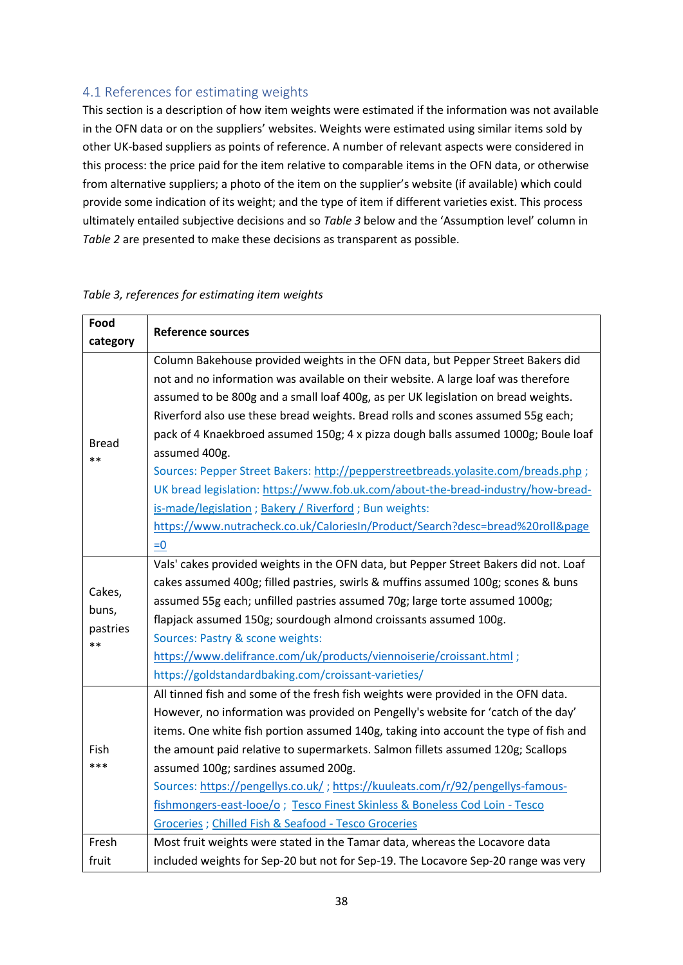# <span id="page-38-0"></span>4.1 References for estimating weights

This section is a description of how item weights were estimated if the information was not available in the OFN data or on the suppliers' websites. Weights were estimated using similar items sold by other UK-based suppliers as points of reference. A number of relevant aspects were considered in this process: the price paid for the item relative to comparable items in the OFN data, or otherwise from alternative suppliers; a photo of the item on the supplier's website (if available) which could provide some indication of its weight; and the type of item if different varieties exist. This process ultimately entailed subjective decisions and so *Table 3* below and the 'Assumption level' column in *Table 2* are presented to make these decisions as transparent as possible.

| Food                  | <b>Reference sources</b>                                                             |
|-----------------------|--------------------------------------------------------------------------------------|
| category              |                                                                                      |
|                       | Column Bakehouse provided weights in the OFN data, but Pepper Street Bakers did      |
|                       | not and no information was available on their website. A large loaf was therefore    |
|                       | assumed to be 800g and a small loaf 400g, as per UK legislation on bread weights.    |
|                       | Riverford also use these bread weights. Bread rolls and scones assumed 55g each;     |
|                       | pack of 4 Knaekbroed assumed 150g; 4 x pizza dough balls assumed 1000g; Boule loaf   |
| <b>Bread</b><br>$* *$ | assumed 400g.                                                                        |
|                       | Sources: Pepper Street Bakers: http://pepperstreetbreads.yolasite.com/breads.php;    |
|                       | UK bread legislation: https://www.fob.uk.com/about-the-bread-industry/how-bread-     |
|                       | is-made/legislation; Bakery / Riverford; Bun weights:                                |
|                       | https://www.nutracheck.co.uk/CaloriesIn/Product/Search?desc=bread%20roll&page        |
|                       | $= 0$                                                                                |
|                       | Vals' cakes provided weights in the OFN data, but Pepper Street Bakers did not. Loaf |
|                       | cakes assumed 400g; filled pastries, swirls & muffins assumed 100g; scones & buns    |
| Cakes,                | assumed 55g each; unfilled pastries assumed 70g; large torte assumed 1000g;          |
| buns,                 | flapjack assumed 150g; sourdough almond croissants assumed 100g.                     |
| pastries<br>$* *$     | Sources: Pastry & scone weights:                                                     |
|                       | https://www.delifrance.com/uk/products/viennoiserie/croissant.html;                  |
|                       | https://goldstandardbaking.com/croissant-varieties/                                  |
|                       | All tinned fish and some of the fresh fish weights were provided in the OFN data.    |
| Fish<br>***           | However, no information was provided on Pengelly's website for 'catch of the day'    |
|                       | items. One white fish portion assumed 140g, taking into account the type of fish and |
|                       | the amount paid relative to supermarkets. Salmon fillets assumed 120g; Scallops      |
|                       | assumed 100g; sardines assumed 200g.                                                 |
|                       | Sources: https://pengellys.co.uk/; https://kuuleats.com/r/92/pengellys-famous-       |
|                       | fishmongers-east-looe/o; Tesco Finest Skinless & Boneless Cod Loin - Tesco           |
|                       | Groceries ; Chilled Fish & Seafood - Tesco Groceries                                 |
| Fresh                 | Most fruit weights were stated in the Tamar data, whereas the Locavore data          |
| fruit                 | included weights for Sep-20 but not for Sep-19. The Locavore Sep-20 range was very   |

## *Table 3, references for estimating item weights*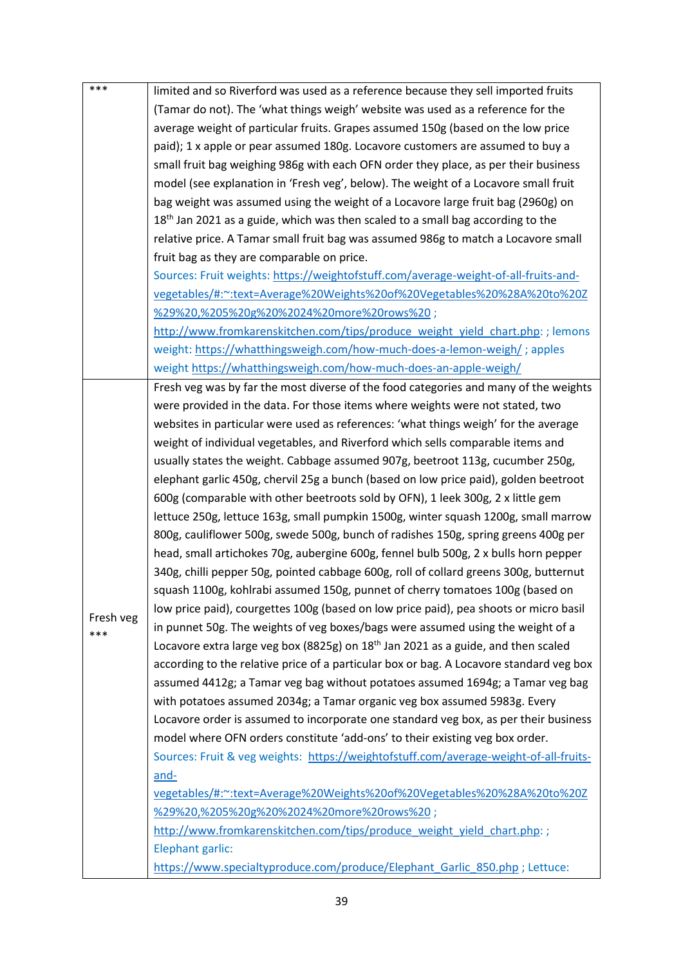| ***       | limited and so Riverford was used as a reference because they sell imported fruits<br>(Tamar do not). The 'what things weigh' website was used as a reference for the<br>average weight of particular fruits. Grapes assumed 150g (based on the low price |
|-----------|-----------------------------------------------------------------------------------------------------------------------------------------------------------------------------------------------------------------------------------------------------------|
|           | paid); 1 x apple or pear assumed 180g. Locavore customers are assumed to buy a                                                                                                                                                                            |
|           | small fruit bag weighing 986g with each OFN order they place, as per their business                                                                                                                                                                       |
|           | model (see explanation in 'Fresh veg', below). The weight of a Locavore small fruit                                                                                                                                                                       |
|           | bag weight was assumed using the weight of a Locavore large fruit bag (2960g) on                                                                                                                                                                          |
|           | $18th$ Jan 2021 as a guide, which was then scaled to a small bag according to the                                                                                                                                                                         |
|           | relative price. A Tamar small fruit bag was assumed 986g to match a Locavore small                                                                                                                                                                        |
|           | fruit bag as they are comparable on price.                                                                                                                                                                                                                |
|           | Sources: Fruit weights: https://weightofstuff.com/average-weight-of-all-fruits-and-                                                                                                                                                                       |
|           | vegetables/#:~:text=Average%20Weights%20of%20Vegetables%20%28A%20to%20Z                                                                                                                                                                                   |
|           | %29%20,%205%20g%20%2024%20more%20rows%20;                                                                                                                                                                                                                 |
|           | http://www.fromkarenskitchen.com/tips/produce weight yield chart.php: ; lemons                                                                                                                                                                            |
|           | weight: https://whatthingsweigh.com/how-much-does-a-lemon-weigh/; apples                                                                                                                                                                                  |
|           | weight https://whatthingsweigh.com/how-much-does-an-apple-weigh/                                                                                                                                                                                          |
|           | Fresh veg was by far the most diverse of the food categories and many of the weights                                                                                                                                                                      |
|           | were provided in the data. For those items where weights were not stated, two                                                                                                                                                                             |
|           | websites in particular were used as references: 'what things weigh' for the average                                                                                                                                                                       |
|           | weight of individual vegetables, and Riverford which sells comparable items and                                                                                                                                                                           |
|           | usually states the weight. Cabbage assumed 907g, beetroot 113g, cucumber 250g,                                                                                                                                                                            |
|           | elephant garlic 450g, chervil 25g a bunch (based on low price paid), golden beetroot                                                                                                                                                                      |
|           | 600g (comparable with other beetroots sold by OFN), 1 leek 300g, 2 x little gem                                                                                                                                                                           |
|           | lettuce 250g, lettuce 163g, small pumpkin 1500g, winter squash 1200g, small marrow                                                                                                                                                                        |
|           | 800g, cauliflower 500g, swede 500g, bunch of radishes 150g, spring greens 400g per                                                                                                                                                                        |
|           | head, small artichokes 70g, aubergine 600g, fennel bulb 500g, 2 x bulls horn pepper                                                                                                                                                                       |
|           | 340g, chilli pepper 50g, pointed cabbage 600g, roll of collard greens 300g, butternut                                                                                                                                                                     |
|           | squash 1100g, kohlrabi assumed 150g, punnet of cherry tomatoes 100g (based on                                                                                                                                                                             |
| Fresh veg | low price paid), courgettes 100g (based on low price paid), pea shoots or micro basil                                                                                                                                                                     |
| ***       | in punnet 50g. The weights of veg boxes/bags were assumed using the weight of a                                                                                                                                                                           |
|           | Locavore extra large veg box (8825g) on 18 <sup>th</sup> Jan 2021 as a guide, and then scaled                                                                                                                                                             |
|           | according to the relative price of a particular box or bag. A Locavore standard veg box                                                                                                                                                                   |
|           | assumed 4412g; a Tamar veg bag without potatoes assumed 1694g; a Tamar veg bag                                                                                                                                                                            |
|           | with potatoes assumed 2034g; a Tamar organic veg box assumed 5983g. Every                                                                                                                                                                                 |
|           | Locavore order is assumed to incorporate one standard veg box, as per their business                                                                                                                                                                      |
|           | model where OFN orders constitute 'add-ons' to their existing veg box order.                                                                                                                                                                              |
|           | Sources: Fruit & veg weights: https://weightofstuff.com/average-weight-of-all-fruits-                                                                                                                                                                     |
|           | and-                                                                                                                                                                                                                                                      |
|           | vegetables/#:~:text=Average%20Weights%20of%20Vegetables%20%28A%20to%20Z                                                                                                                                                                                   |
|           | %29%20,%205%20g%20%2024%20more%20rows%20;                                                                                                                                                                                                                 |
|           | http://www.fromkarenskitchen.com/tips/produce weight yield chart.php:;                                                                                                                                                                                    |
|           | Elephant garlic:                                                                                                                                                                                                                                          |
|           | https://www.specialtyproduce.com/produce/Elephant Garlic 850.php; Lettuce:                                                                                                                                                                                |